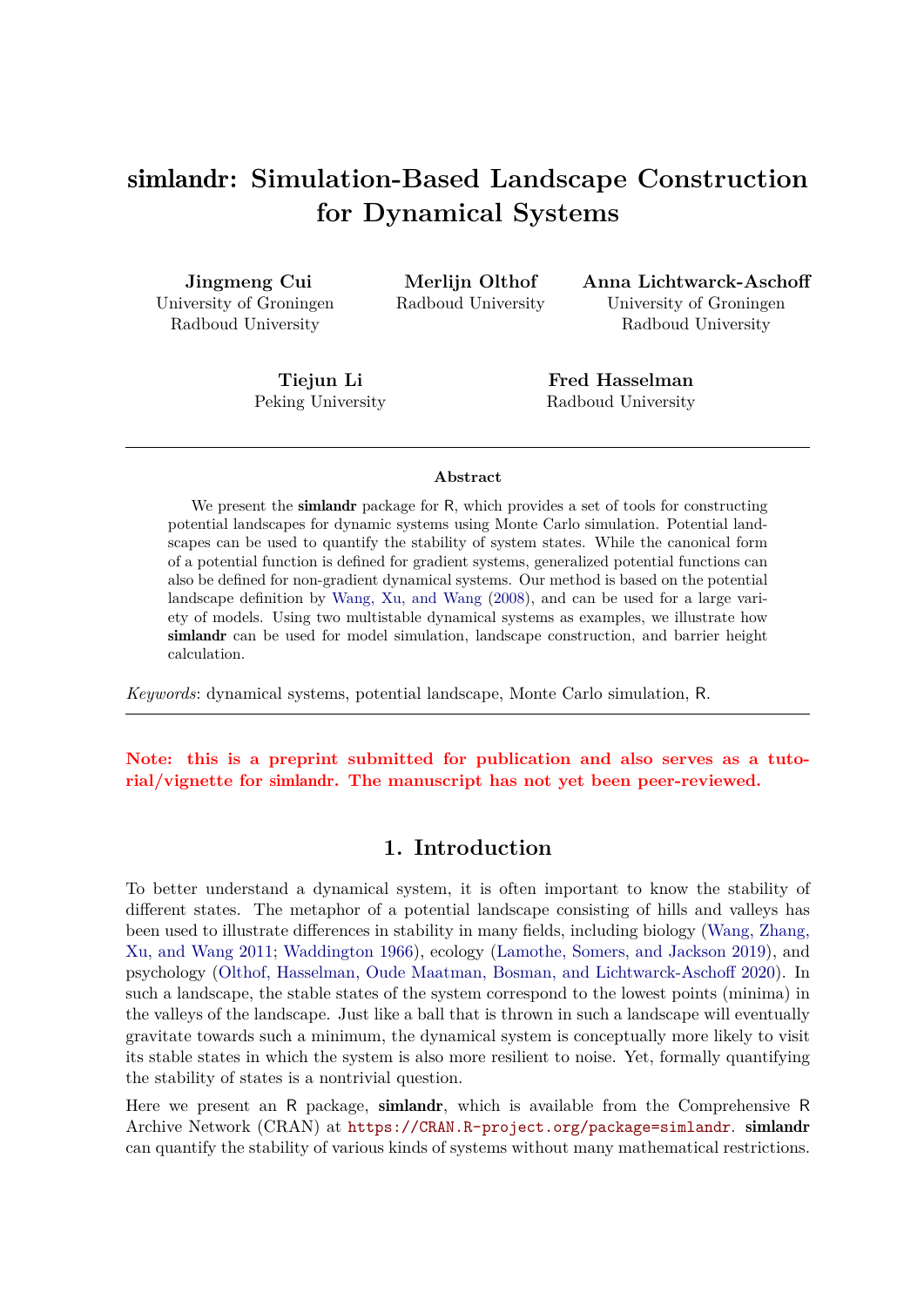# simlandr**: Simulation-Based Landscape Construction for Dynamical Systems**

**Jingmeng Cui** University of Groningen Radboud University

**Merlijn Olthof** Radboud University **Anna Lichtwarck-Aschoff** University of Groningen Radboud University

**Tiejun Li** Peking University

**Fred Hasselman** Radboud University

#### **Abstract**

We present the **simlandr** package for R, which provides a set of tools for constructing potential landscapes for dynamic systems using Monte Carlo simulation. Potential landscapes can be used to quantify the stability of system states. While the canonical form of a potential function is defined for gradient systems, generalized potential functions can also be defined for non-gradient dynamical systems. Our method is based on the potential landscape definition by Wang, Xu, and Wang (2008), and can be used for a large variety of models. Using two multistable dynamical systems as examples, we illustrate how simlandr can be used for model simulation, landscape construction, and barrier height calculation.

*Keywords*: dynamical systems, potential landscape, Monte Carlo simulation, R.

**Note: this is a preprint submitted for publication and also serves as a tutorial/vignette for** simlandr**. The manuscript has not yet been peer-reviewed.**

### **1. Introduction**

To better understand a dynamical system, it is often important to know the stability of different states. The metaphor of a potential landscape consisting of hills and valleys has been used to illustrate differences in stability in many fields, including biology (Wang, Zhang, Xu, and Wang 2011; Waddington 1966), ecology (Lamothe, Somers, and Jackson 2019), and psychology (Olthof, Hasselman, Oude Maatman, Bosman, and Lichtwarck-Aschoff 2020). In such a landscape, the stable states of the system correspond to the lowest points (minima) in the valleys of the landscape. Just like a ball that is thrown in such a landscape will eventually gravitate towards such a minimum, the dynamical system is conceptually more likely to visit its stable states in which the system is also more resilient to noise. Yet, formally quantifying the stability of states is a nontrivial question.

Here we present an R package, simlandr, which is available from the Comprehensive R Archive Network (CRAN) at https://CRAN.R-project.org/package=simlandr. simlandr can quantify the stability of various kinds of systems without many mathematical restrictions.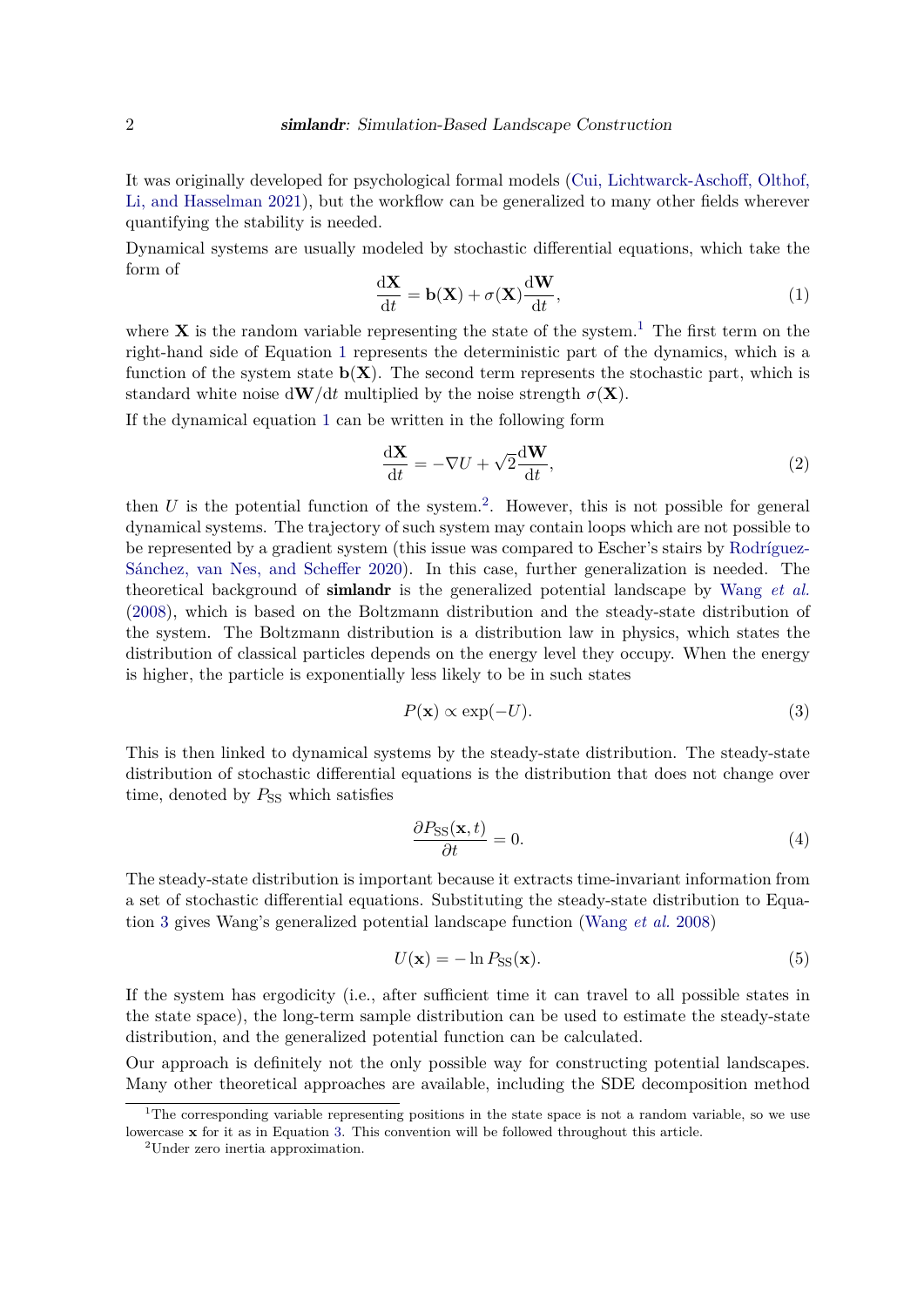It was originally developed for psychological formal models (Cui, Lichtwarck-Aschoff, Olthof, Li, and Hasselman 2021), but the workflow can be generalized to many other fields wherever quantifying the stability is needed.

Dynamical systems are usually modeled by stochastic differential equations, which take the form of

$$
\frac{\mathrm{d}\mathbf{X}}{\mathrm{d}t} = \mathbf{b}(\mathbf{X}) + \sigma(\mathbf{X})\frac{\mathrm{d}\mathbf{W}}{\mathrm{d}t},\tag{1}
$$

where **X** is the random variable representing the state of the system.<sup>1</sup> The first term on the right-hand side of Equation 1 represents the deterministic part of the dynamics, which is a function of the system state  $\mathbf{b}(\mathbf{X})$ . The second term represents the stochastic part, which is standard white noise  $dW/dt$  multiplied by the noise strength  $\sigma(X)$ .

If the dynamical equation 1 can be written in the following form

$$
\frac{\mathrm{d}\mathbf{X}}{\mathrm{d}t} = -\nabla U + \sqrt{2}\frac{\mathrm{d}\mathbf{W}}{\mathrm{d}t},\tag{2}
$$

then  $U$  is the potential function of the system.<sup>2</sup>. However, this is not possible for general dynamical systems. The trajectory of such system may contain loops which are not possible to be represented by a gradient system (this issue was compared to Escher's stairs by Rodríguez-Sánchez, van Nes, and Scheffer 2020). In this case, further generalization is needed. The theoretical background of simlandr is the generalized potential landscape by Wang *et al.* (2008), which is based on the Boltzmann distribution and the steady-state distribution of the system. The Boltzmann distribution is a distribution law in physics, which states the distribution of classical particles depends on the energy level they occupy. When the energy is higher, the particle is exponentially less likely to be in such states

$$
P(\mathbf{x}) \propto \exp(-U). \tag{3}
$$

This is then linked to dynamical systems by the steady-state distribution. The steady-state distribution of stochastic differential equations is the distribution that does not change over time, denoted by  $P_{SS}$  which satisfies

$$
\frac{\partial P_{\rm SS}(\mathbf{x},t)}{\partial t} = 0. \tag{4}
$$

The steady-state distribution is important because it extracts time-invariant information from a set of stochastic differential equations. Substituting the steady-state distribution to Equation 3 gives Wang's generalized potential landscape function (Wang *et al.* 2008)

$$
U(\mathbf{x}) = -\ln P_{\mathrm{SS}}(\mathbf{x}).\tag{5}
$$

If the system has ergodicity (i.e., after sufficient time it can travel to all possible states in the state space), the long-term sample distribution can be used to estimate the steady-state distribution, and the generalized potential function can be calculated.

Our approach is definitely not the only possible way for constructing potential landscapes. Many other theoretical approaches are available, including the SDE decomposition method

<sup>&</sup>lt;sup>1</sup>The corresponding variable representing positions in the state space is not a random variable, so we use lowercase **x** for it as in Equation 3. This convention will be followed throughout this article.

<sup>2</sup>Under zero inertia approximation.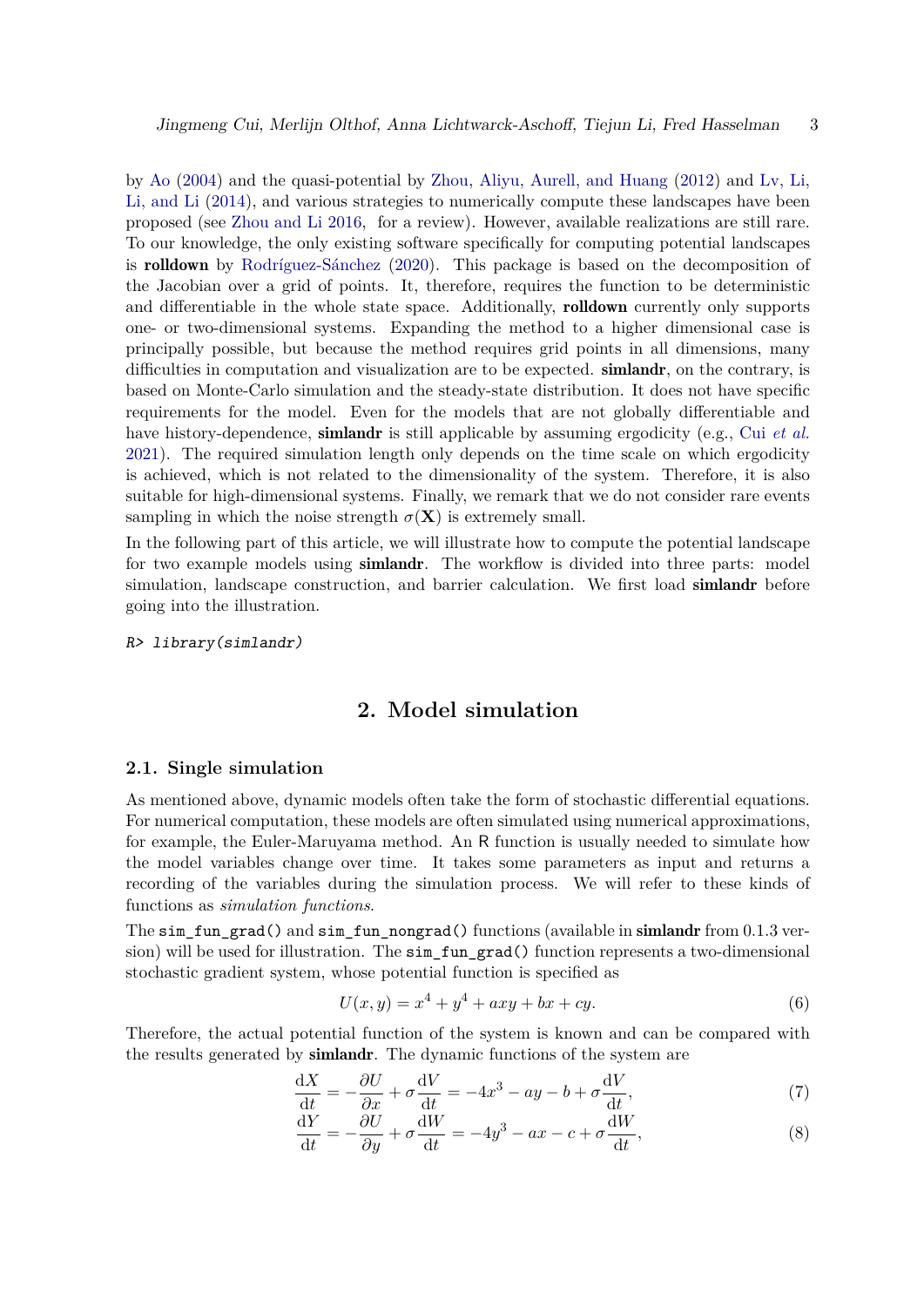by Ao (2004) and the quasi-potential by Zhou, Aliyu, Aurell, and Huang (2012) and Lv, Li, Li, and Li (2014), and various strategies to numerically compute these landscapes have been proposed (see Zhou and Li 2016, for a review). However, available realizations are still rare. To our knowledge, the only existing software specifically for computing potential landscapes is rolldown by Rodríguez-Sánchez (2020). This package is based on the decomposition of the Jacobian over a grid of points. It, therefore, requires the function to be deterministic and differentiable in the whole state space. Additionally, **rolldown** currently only supports one- or two-dimensional systems. Expanding the method to a higher dimensional case is principally possible, but because the method requires grid points in all dimensions, many difficulties in computation and visualization are to be expected. **similandr**, on the contrary, is based on Monte-Carlo simulation and the steady-state distribution. It does not have specific requirements for the model. Even for the models that are not globally differentiable and have history-dependence, simlandr is still applicable by assuming ergodicity (e.g., Cui *et al.* 2021). The required simulation length only depends on the time scale on which ergodicity is achieved, which is not related to the dimensionality of the system. Therefore, it is also suitable for high-dimensional systems. Finally, we remark that we do not consider rare events sampling in which the noise strength  $\sigma(\mathbf{X})$  is extremely small.

In the following part of this article, we will illustrate how to compute the potential landscape for two example models using **simlandr**. The workflow is divided into three parts: model simulation, landscape construction, and barrier calculation. We first load simlandr before going into the illustration.

*R> library(simlandr)*

# **2. Model simulation**

#### **2.1. Single simulation**

As mentioned above, dynamic models often take the form of stochastic differential equations. For numerical computation, these models are often simulated using numerical approximations, for example, the Euler-Maruyama method. An R function is usually needed to simulate how the model variables change over time. It takes some parameters as input and returns a recording of the variables during the simulation process. We will refer to these kinds of functions as *simulation functions*.

The sim fun grad() and sim fun nongrad() functions (available in simlandr from 0.1.3 version) will be used for illustration. The simple  $\mathbf{r}$  function represents a two-dimensional stochastic gradient system, whose potential function is specified as

$$
U(x, y) = x^4 + y^4 + axy + bx + cy.
$$
 (6)

Therefore, the actual potential function of the system is known and can be compared with the results generated by simlandr. The dynamic functions of the system are

$$
\frac{\mathrm{d}X}{\mathrm{d}t} = -\frac{\partial U}{\partial x} + \sigma \frac{\mathrm{d}V}{\mathrm{d}t} = -4x^3 - ay - b + \sigma \frac{\mathrm{d}V}{\mathrm{d}t},\tag{7}
$$

$$
\frac{dY}{dt} = -\frac{\partial U}{\partial y} + \sigma \frac{dW}{dt} = -4y^3 - ax - c + \sigma \frac{dW}{dt},\tag{8}
$$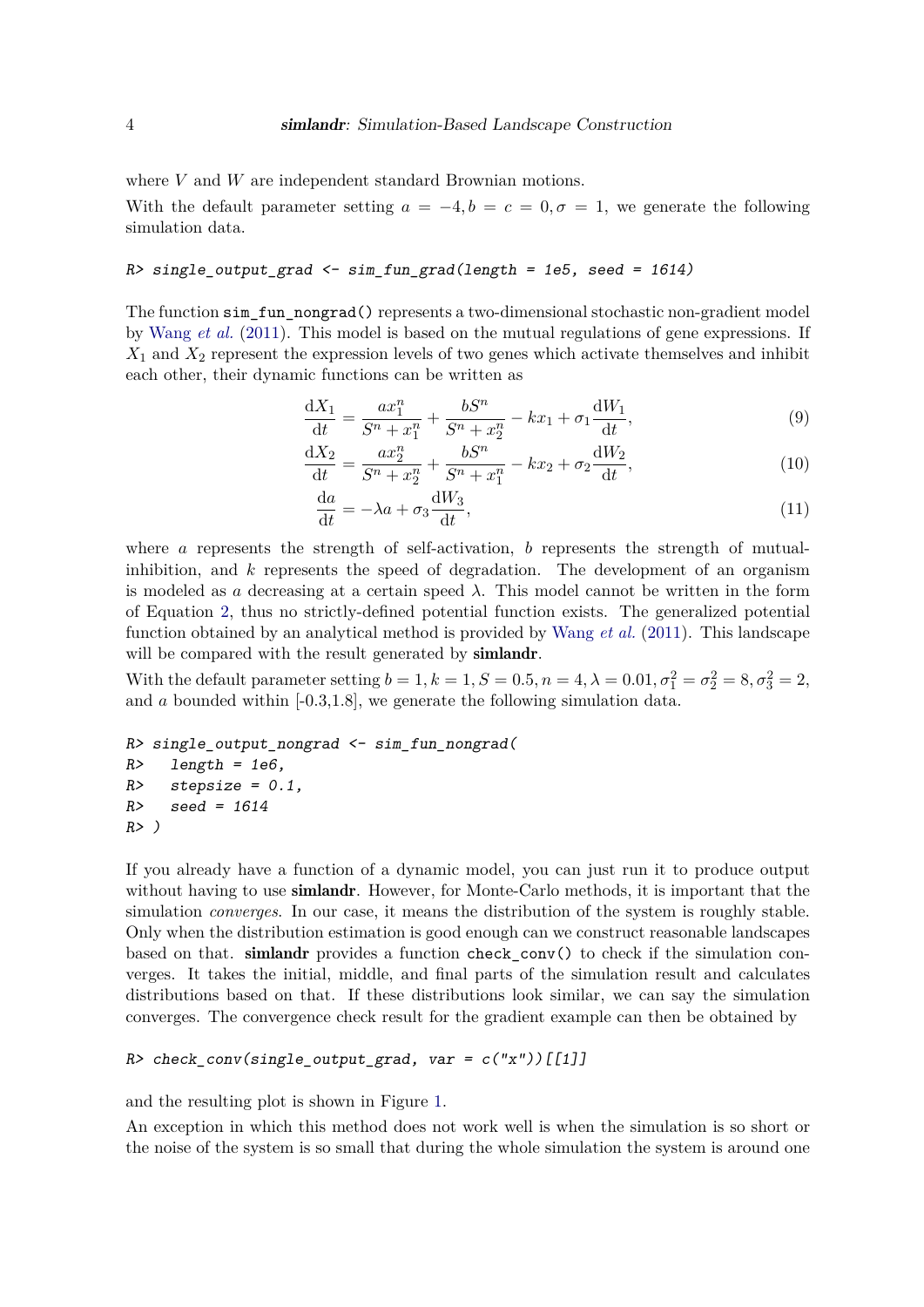where *V* and *W* are independent standard Brownian motions.

With the default parameter setting  $a = -4, b = c = 0, \sigma = 1$ , we generate the following simulation data.

#### *R> single\_output\_grad <- sim\_fun\_grad(length = 1e5, seed = 1614)*

The function sim\_fun\_nongrad() represents a two-dimensional stochastic non-gradient model by Wang *et al.* (2011). This model is based on the mutual regulations of gene expressions. If *X*1 and *X*2 represent the expression levels of two genes which activate themselves and inhibit each other, their dynamic functions can be written as

$$
\frac{dX_1}{dt} = \frac{ax_1^n}{S^n + x_1^n} + \frac{bS^n}{S^n + x_2^n} - kx_1 + \sigma_1 \frac{dW_1}{dt},\tag{9}
$$

$$
\frac{dX_2}{dt} = \frac{ax_2^n}{S^n + x_2^n} + \frac{bS^n}{S^n + x_1^n} - kx_2 + \sigma_2 \frac{dW_2}{dt},\tag{10}
$$

$$
\frac{\mathrm{d}a}{\mathrm{d}t} = -\lambda a + \sigma_3 \frac{\mathrm{d}W_3}{\mathrm{d}t},\tag{11}
$$

where *a* represents the strength of self-activation, *b* represents the strength of mutualinhibition, and *k* represents the speed of degradation. The development of an organism is modeled as *a* decreasing at a certain speed  $\lambda$ . This model cannot be written in the form of Equation 2, thus no strictly-defined potential function exists. The generalized potential function obtained by an analytical method is provided by Wang *et al.* (2011). This landscape will be compared with the result generated by **simlandr**.

With the default parameter setting  $b = 1, k = 1, S = 0.5, n = 4, \lambda = 0.01, \sigma_1^2 = \sigma_2^2 = 8, \sigma_3^2 = 2$ , and *a* bounded within [-0.3,1.8], we generate the following simulation data.

```
R> single_output_nongrad <- sim_fun_nongrad(
R> length = 1e6,
R> stepsize = 0.1,
R> seed = 1614
R> )
```
If you already have a function of a dynamic model, you can just run it to produce output without having to use **simlandr**. However, for Monte-Carlo methods, it is important that the simulation *converges*. In our case, it means the distribution of the system is roughly stable. Only when the distribution estimation is good enough can we construct reasonable landscapes based on that. simlandr provides a function check\_conv() to check if the simulation converges. It takes the initial, middle, and final parts of the simulation result and calculates distributions based on that. If these distributions look similar, we can say the simulation converges. The convergence check result for the gradient example can then be obtained by

```
R> check_conv(single_output_grad, var = c("x"))[[1]]
```
and the resulting plot is shown in Figure 1.

An exception in which this method does not work well is when the simulation is so short or the noise of the system is so small that during the whole simulation the system is around one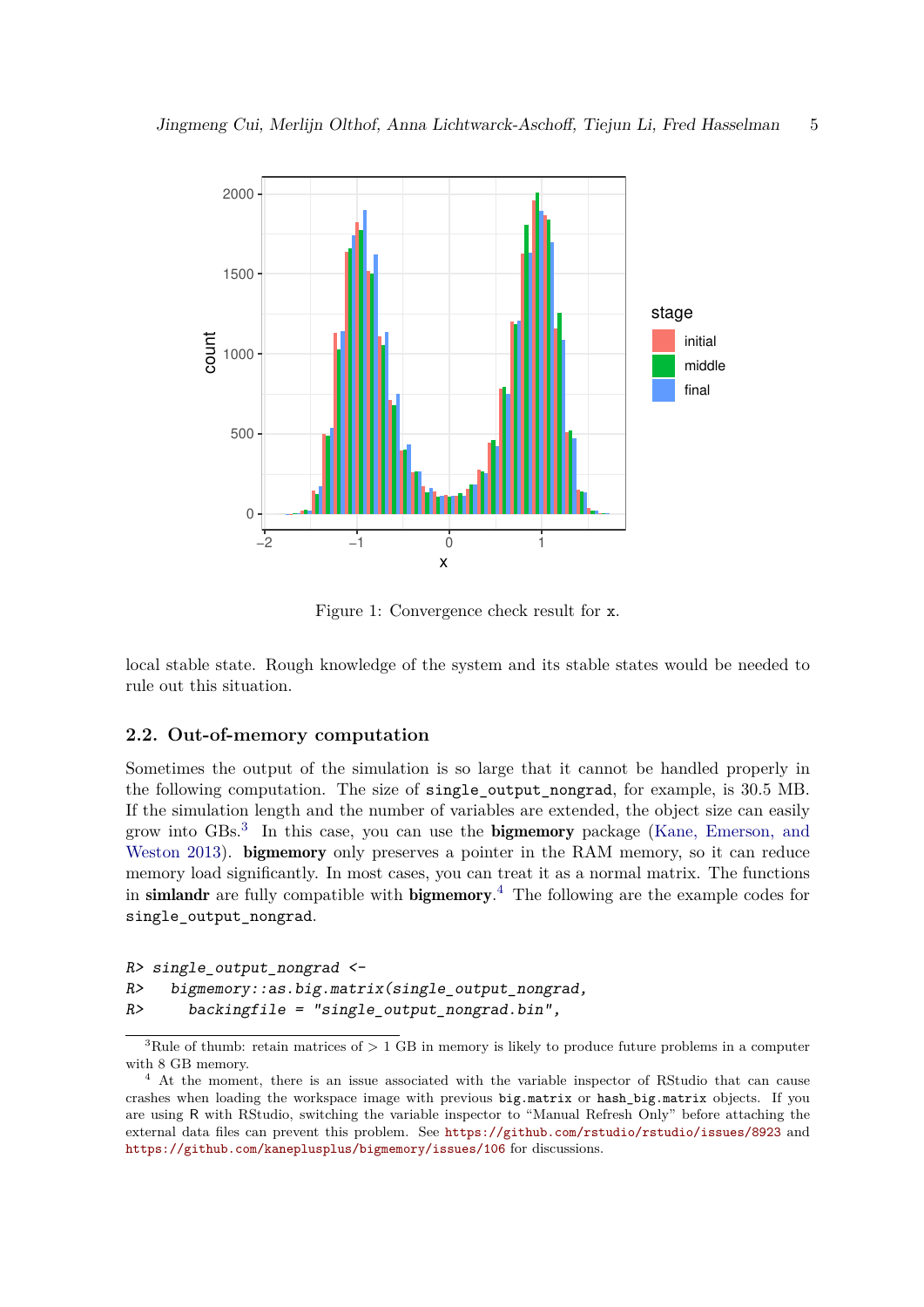

Figure 1: Convergence check result for x.

local stable state. Rough knowledge of the system and its stable states would be needed to rule out this situation.

#### **2.2. Out-of-memory computation**

Sometimes the output of the simulation is so large that it cannot be handled properly in the following computation. The size of single\_output\_nongrad, for example, is 30.5 MB. If the simulation length and the number of variables are extended, the object size can easily grow into GBs.<sup>3</sup> In this case, you can use the bigmemory package (Kane, Emerson, and Weston 2013). **bigmemory** only preserves a pointer in the RAM memory, so it can reduce memory load significantly. In most cases, you can treat it as a normal matrix. The functions in simlandr are fully compatible with bigmemory. <sup>4</sup> The following are the example codes for single output nongrad.

```
R> single_output_nongrad <-
R> bigmemory::as.big.matrix(single_output_nongrad,
R> backingfile = "single_output_nongrad.bin",
```
<sup>&</sup>lt;sup>3</sup>Rule of thumb: retain matrices of  $> 1$  GB in memory is likely to produce future problems in a computer with 8 GB memory.

<sup>&</sup>lt;sup>4</sup> At the moment, there is an issue associated with the variable inspector of RStudio that can cause crashes when loading the workspace image with previous big.matrix or hash big.matrix objects. If you are using R with RStudio, switching the variable inspector to "Manual Refresh Only" before attaching the external data files can prevent this problem. See https://github.com/rstudio/rstudio/issues/8923 and https://github.com/kaneplusplus/bigmemory/issues/106 for discussions.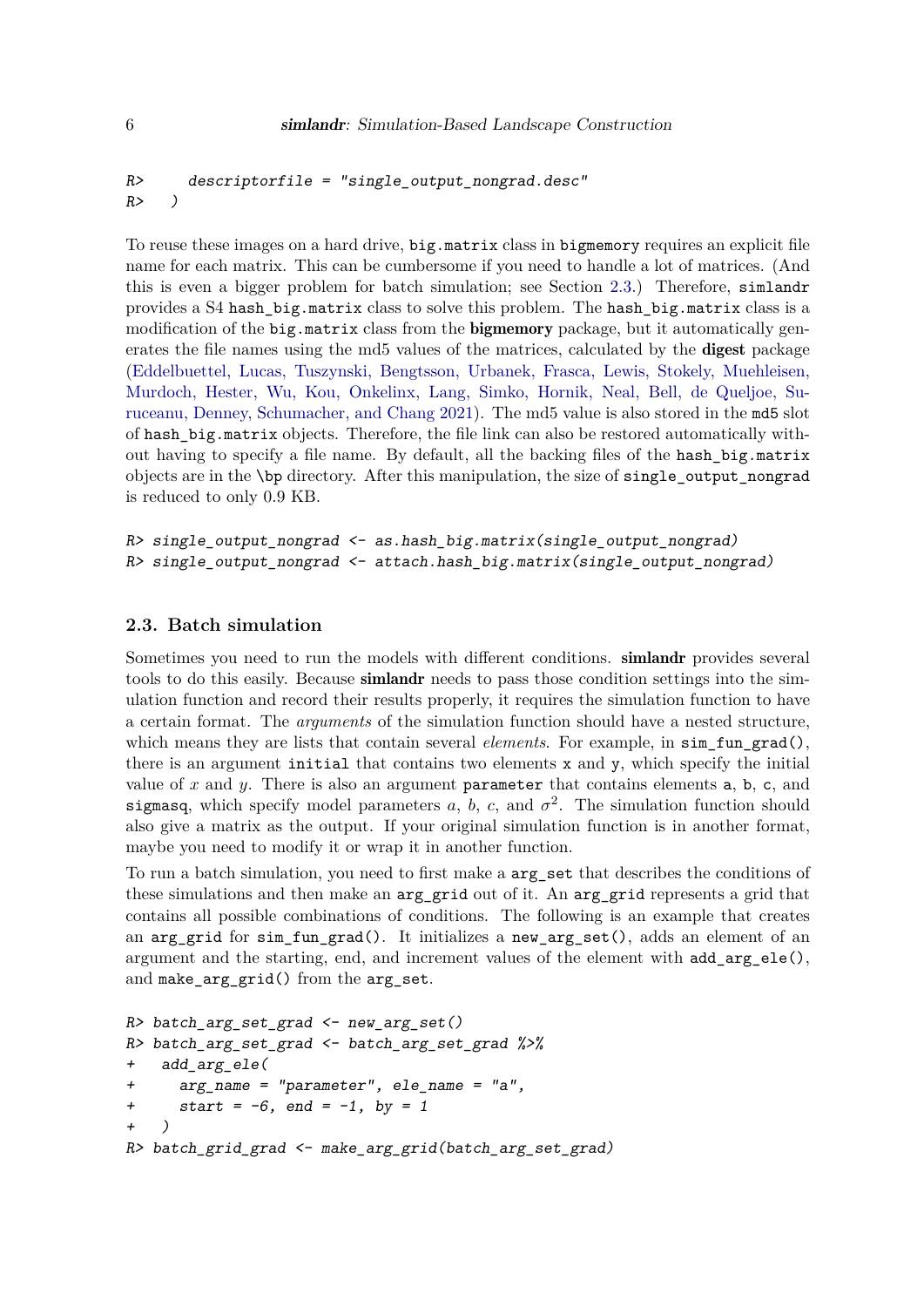```
R> descriptorfile = "single_output_nongrad.desc"
R> )
```
To reuse these images on a hard drive,  $big$  matrix class in bigmemory requires an explicit file name for each matrix. This can be cumbersome if you need to handle a lot of matrices. (And this is even a bigger problem for batch simulation; see Section 2.3.) Therefore, simlandr provides a S4 hash\_big.matrix class to solve this problem. The hash\_big.matrix class is a modification of the big.matrix class from the bigmemory package, but it automatically generates the file names using the md5 values of the matrices, calculated by the **digest** package (Eddelbuettel, Lucas, Tuszynski, Bengtsson, Urbanek, Frasca, Lewis, Stokely, Muehleisen, Murdoch, Hester, Wu, Kou, Onkelinx, Lang, Simko, Hornik, Neal, Bell, de Queljoe, Suruceanu, Denney, Schumacher, and Chang 2021). The md5 value is also stored in the md5 slot of hash big.matrix objects. Therefore, the file link can also be restored automatically without having to specify a file name. By default, all the backing files of the hash big.matrix objects are in the \bp directory. After this manipulation, the size of single\_output\_nongrad is reduced to only 0.9 KB.

```
R> single_output_nongrad <- as.hash_big.matrix(single_output_nongrad)
R> single_output_nongrad <- attach.hash_big.matrix(single_output_nongrad)
```
### **2.3. Batch simulation**

Sometimes you need to run the models with different conditions. **simlandr** provides several tools to do this easily. Because **simlandr** needs to pass those condition settings into the simulation function and record their results properly, it requires the simulation function to have a certain format. The *arguments* of the simulation function should have a nested structure, which means they are lists that contain several *elements*. For example, in sim fun grad(), there is an argument initial that contains two elements x and y, which specify the initial value of *x* and *y*. There is also an argument parameter that contains elements a, b, c, and sigmasq, which specify model parameters  $a, b, c$ , and  $\sigma^2$ . The simulation function should also give a matrix as the output. If your original simulation function is in another format, maybe you need to modify it or wrap it in another function.

To run a batch simulation, you need to first make a  $\arg$  set that describes the conditions of these simulations and then make an arg grid out of it. An arg grid represents a grid that contains all possible combinations of conditions. The following is an example that creates an arg\_grid for sim\_fun\_grad(). It initializes a new\_arg\_set(), adds an element of an argument and the starting, end, and increment values of the element with add\_arg\_ele(), and make\_arg\_grid() from the arg\_set.

```
R> batch_arg_set_grad <- new_arg_set()
R> batch_arg_set_grad <- batch_arg_set_grad %>%
+ add_arg_ele(
+ arg_name = "parameter", ele_name = "a",
+ start = -6, end = -1, by = 1
+ )
R> batch_grid_grad <- make_arg_grid(batch_arg_set_grad)
```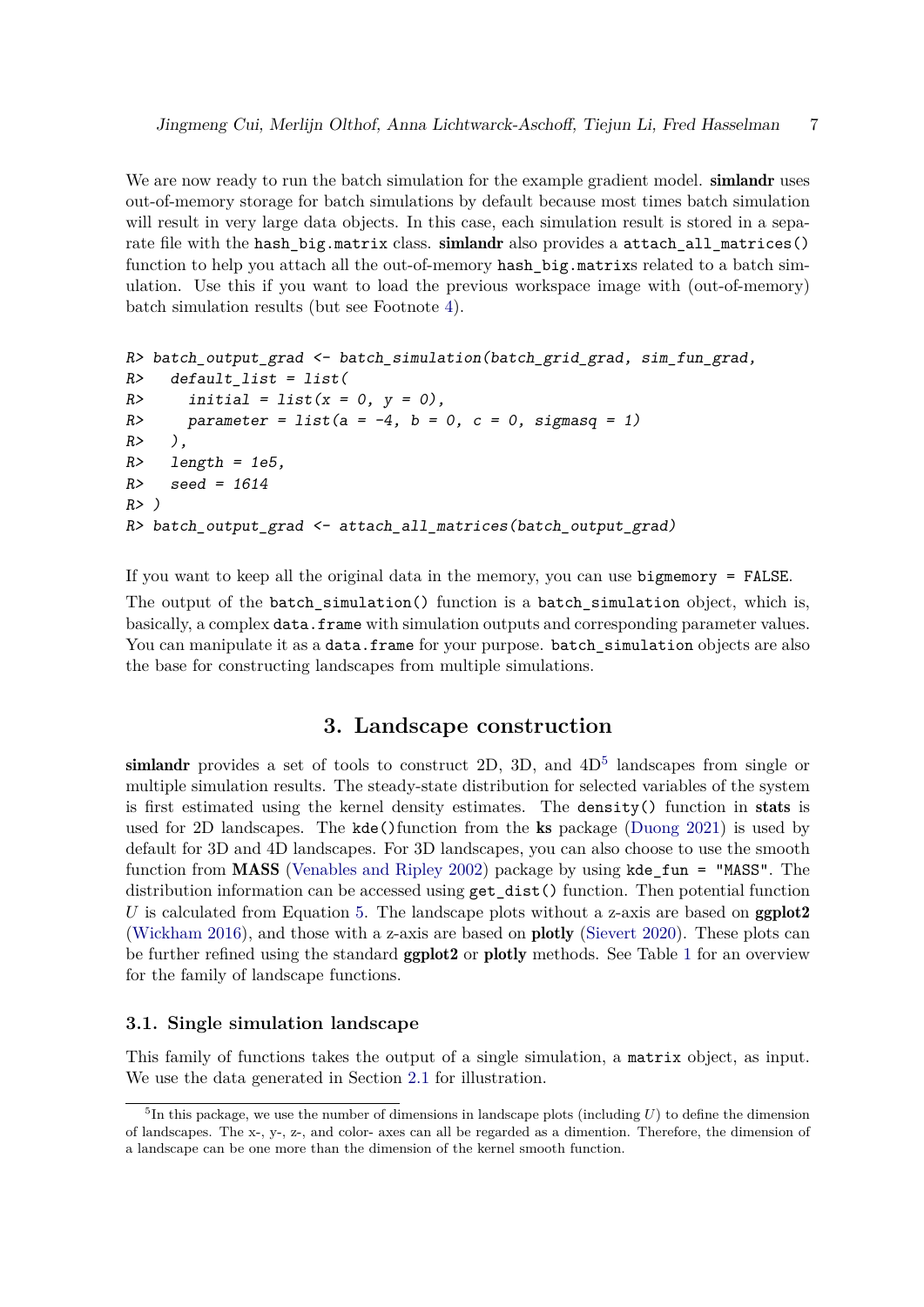We are now ready to run the batch simulation for the example gradient model. **simlandr** uses out-of-memory storage for batch simulations by default because most times batch simulation will result in very large data objects. In this case, each simulation result is stored in a separate file with the hash big.matrix class. simlandr also provides a attach all matrices() function to help you attach all the out-of-memory hash big.matrixs related to a batch simulation. Use this if you want to load the previous workspace image with (out-of-memory) batch simulation results (but see Footnote 4).

```
R> batch_output_grad <- batch_simulation(batch_grid_grad, sim_fun_grad,
R> default_list = list(
R> initial = list(x = 0, y = 0),
R> parameter = list(a = -4, b = 0, c = 0, sigmasq = 1)
R> ),
R> length = 1e5,
R> seed = 1614
R> )
R> batch_output_grad <- attach_all_matrices(batch_output_grad)
```
If you want to keep all the original data in the memory, you can use bigmemory = FALSE. The output of the batch\_simulation() function is a batch\_simulation object, which is, basically, a complex data.frame with simulation outputs and corresponding parameter values. You can manipulate it as a data.frame for your purpose. batch\_simulation objects are also the base for constructing landscapes from multiple simulations.

# **3. Landscape construction**

simlandr provides a set of tools to construct 2D, 3D, and  $4D<sup>5</sup>$  landscapes from single or multiple simulation results. The steady-state distribution for selected variables of the system is first estimated using the kernel density estimates. The density() function in stats is used for 2D landscapes. The kde()function from the ks package (Duong 2021) is used by default for 3D and 4D landscapes. For 3D landscapes, you can also choose to use the smooth function from **MASS** (Venables and Ripley 2002) package by using kde  $fun = "MASS"$ . The distribution information can be accessed using  $get\_dist()$  function. Then potential function *U* is calculated from Equation 5. The landscape plots without a z-axis are based on **ggplot2** (Wickham 2016), and those with a z-axis are based on plotly (Sievert 2020). These plots can be further refined using the standard **ggplot2** or **plotly** methods. See Table 1 for an overview for the family of landscape functions.

#### **3.1. Single simulation landscape**

This family of functions takes the output of a single simulation, a matrix object, as input. We use the data generated in Section 2.1 for illustration.

 ${}^{5}$ In this package, we use the number of dimensions in landscape plots (including  $U$ ) to define the dimension of landscapes. The x-, y-, z-, and color- axes can all be regarded as a dimention. Therefore, the dimension of a landscape can be one more than the dimension of the kernel smooth function.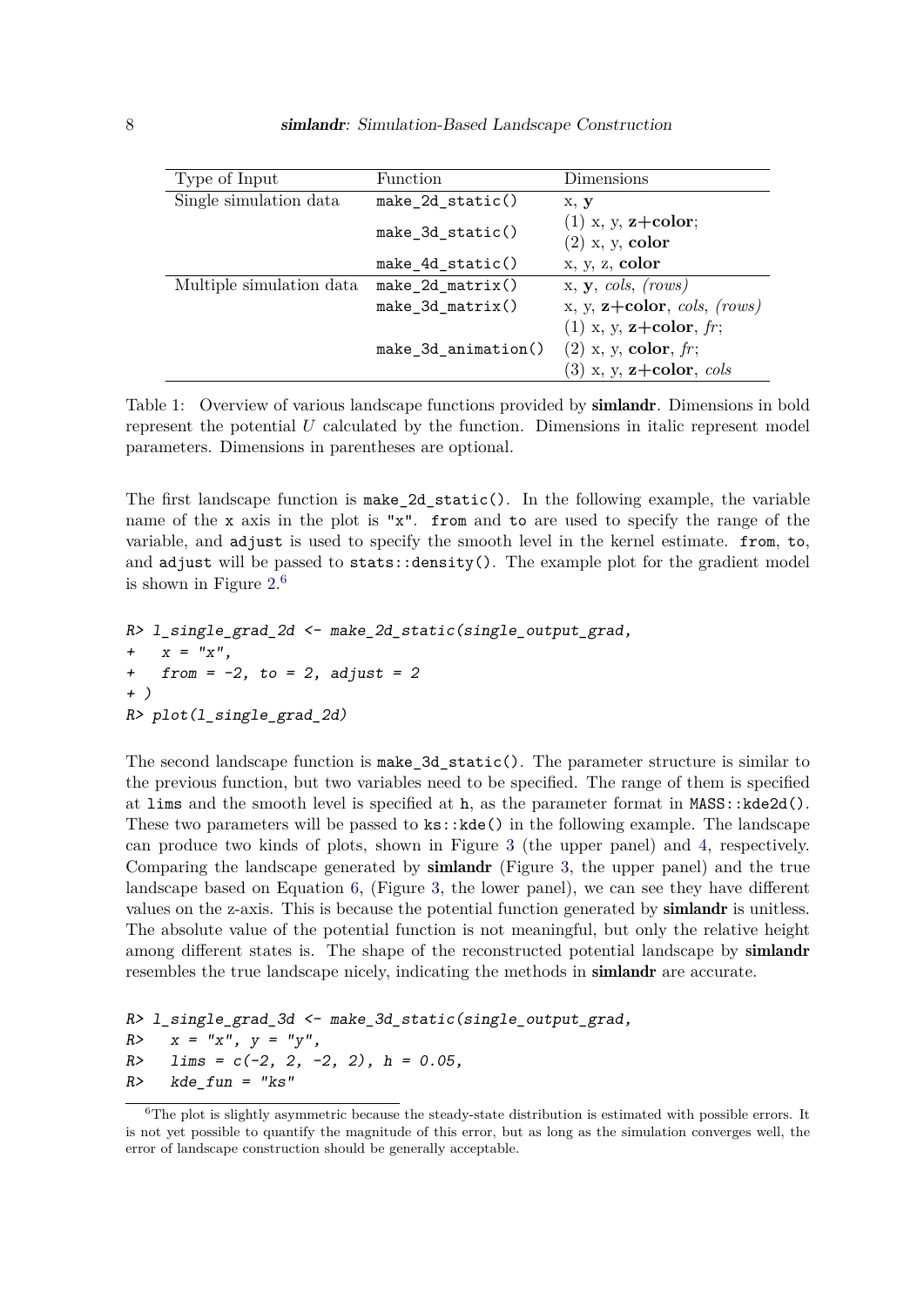| Type of Input            | Function            | Dimensions                               |
|--------------------------|---------------------|------------------------------------------|
| Single simulation data   | $make_2d_static()$  | x, y                                     |
|                          | $make_3d_static()$  | $(1)$ x, y, z+color;                     |
|                          |                     | $(2)$ x, y, color                        |
|                          | $make_4d_static()$  | x, y, z, color                           |
| Multiple simulation data | $make_2d_matrix()$  | $x, y, \text{cols}, \text{rows}$         |
|                          | $make_3d_matrix()$  | x, y, $z + color$ , cols, (rows)         |
|                          |                     | $(1)$ x, y, <b>z</b> +color, <i>fr</i> ; |
|                          | make_3d_animation() | $(2)$ x, y, color, fr;                   |
|                          |                     | $(3)$ x, y, z+color, cols                |

Table 1: Overview of various landscape functions provided by simlandr. Dimensions in bold represent the potential *U* calculated by the function. Dimensions in italic represent model parameters. Dimensions in parentheses are optional.

The first landscape function is  $\texttt{make_2d_static}()$ . In the following example, the variable name of the x axis in the plot is "x". from and to are used to specify the range of the variable, and adjust is used to specify the smooth level in the kernel estimate. from, to, and adjust will be passed to stats::density(). The example plot for the gradient model is shown in Figure  $2.\overline{6}$ 

```
R> l_single_grad_2d <- make_2d_static(single_output_grad,
+ x = "x",
+ from = -2, to = 2, adjust = 2
+ )
R> plot(l_single_grad_2d)
```
The second landscape function is make  $3d$  static(). The parameter structure is similar to the previous function, but two variables need to be specified. The range of them is specified at lims and the smooth level is specified at h, as the parameter format in  $MASS::kde2d()$ . These two parameters will be passed to  $ks:$ : $kde()$  in the following example. The landscape can produce two kinds of plots, shown in Figure 3 (the upper panel) and 4, respectively. Comparing the landscape generated by simlandr (Figure 3, the upper panel) and the true landscape based on Equation 6, (Figure 3, the lower panel), we can see they have different values on the z-axis. This is because the potential function generated by simlandr is unitless. The absolute value of the potential function is not meaningful, but only the relative height among different states is. The shape of the reconstructed potential landscape by **simlandr** resembles the true landscape nicely, indicating the methods in simlandr are accurate.

```
R> l_single_grad_3d <- make_3d_static(single_output_grad,
R> x = "x", y = "y",
R> lims = c(-2, 2, -2, 2), h = 0.05,
R> kde_fun = "ks"
```
<sup>&</sup>lt;sup>6</sup>The plot is slightly asymmetric because the steady-state distribution is estimated with possible errors. It is not yet possible to quantify the magnitude of this error, but as long as the simulation converges well, the error of landscape construction should be generally acceptable.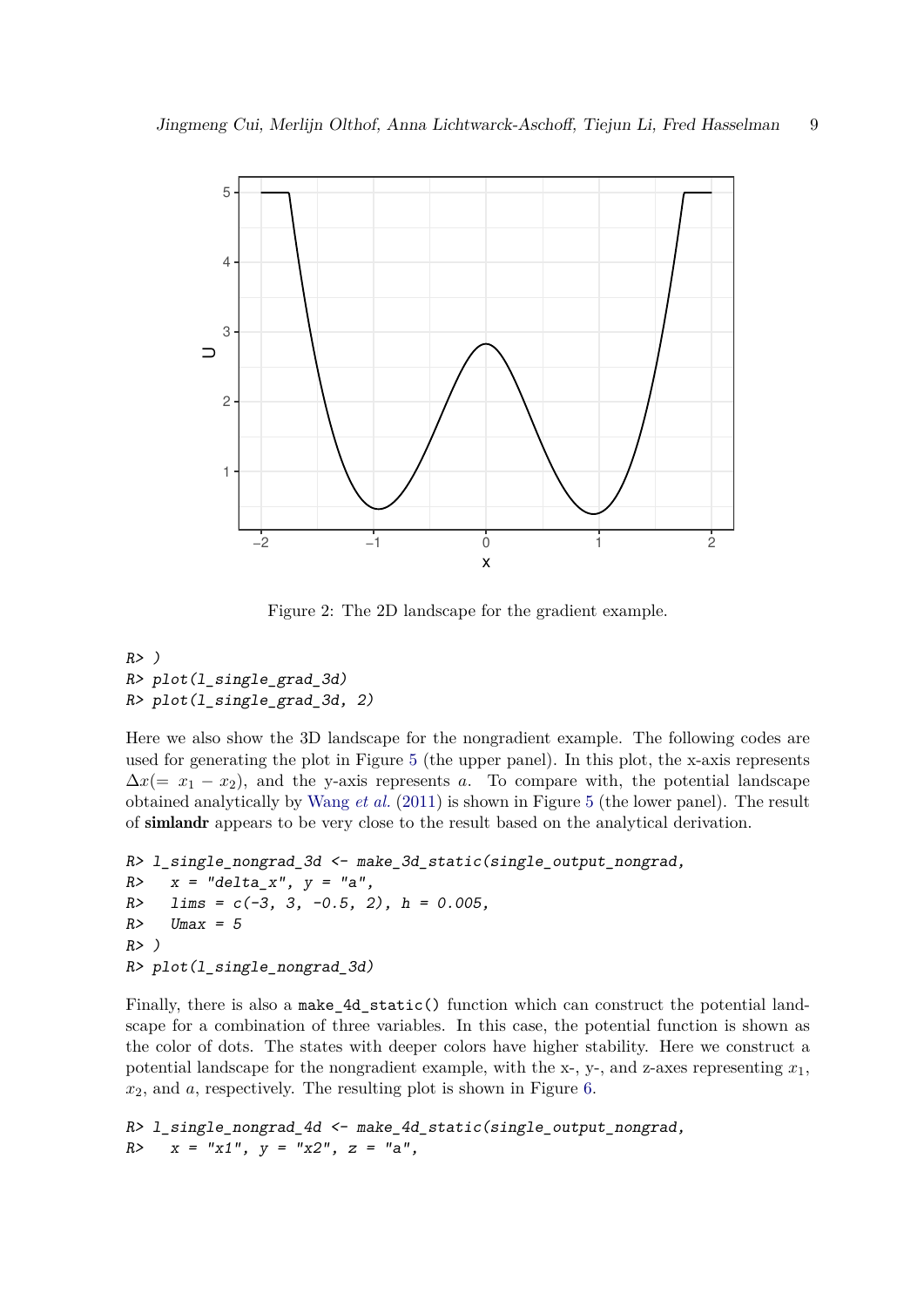

Figure 2: The 2D landscape for the gradient example.

```
R> )
R> plot(l_single_grad_3d)
R> plot(l_single_grad_3d, 2)
```
Here we also show the 3D landscape for the nongradient example. The following codes are used for generating the plot in Figure 5 (the upper panel). In this plot, the x-axis represents  $\Delta x (= x_1 - x_2)$ , and the y-axis represents *a*. To compare with, the potential landscape obtained analytically by Wang *et al.* (2011) is shown in Figure 5 (the lower panel). The result of simlandr appears to be very close to the result based on the analytical derivation.

```
R> l_single_nongrad_3d <- make_3d_static(single_output_nongrad,
R> x = "delta_x", y = "a",
R> lims = c(-3, 3, -0.5, 2), h = 0.005,
R> Umax = 5
R> )
R> plot(l_single_nongrad_3d)
```
Finally, there is also a make\_4d\_static() function which can construct the potential landscape for a combination of three variables. In this case, the potential function is shown as the color of dots. The states with deeper colors have higher stability. Here we construct a potential landscape for the nongradient example, with the  $x<sub>1</sub>$ ,  $y<sub>1</sub>$ , and  $z<sub>0</sub>$  axes representing  $x<sub>1</sub>$ , *x*2, and *a*, respectively. The resulting plot is shown in Figure 6.

```
R> l_single_nongrad_4d <- make_4d_static(single_output_nongrad,
R> x = "x1", y = "x2", z = "a",
```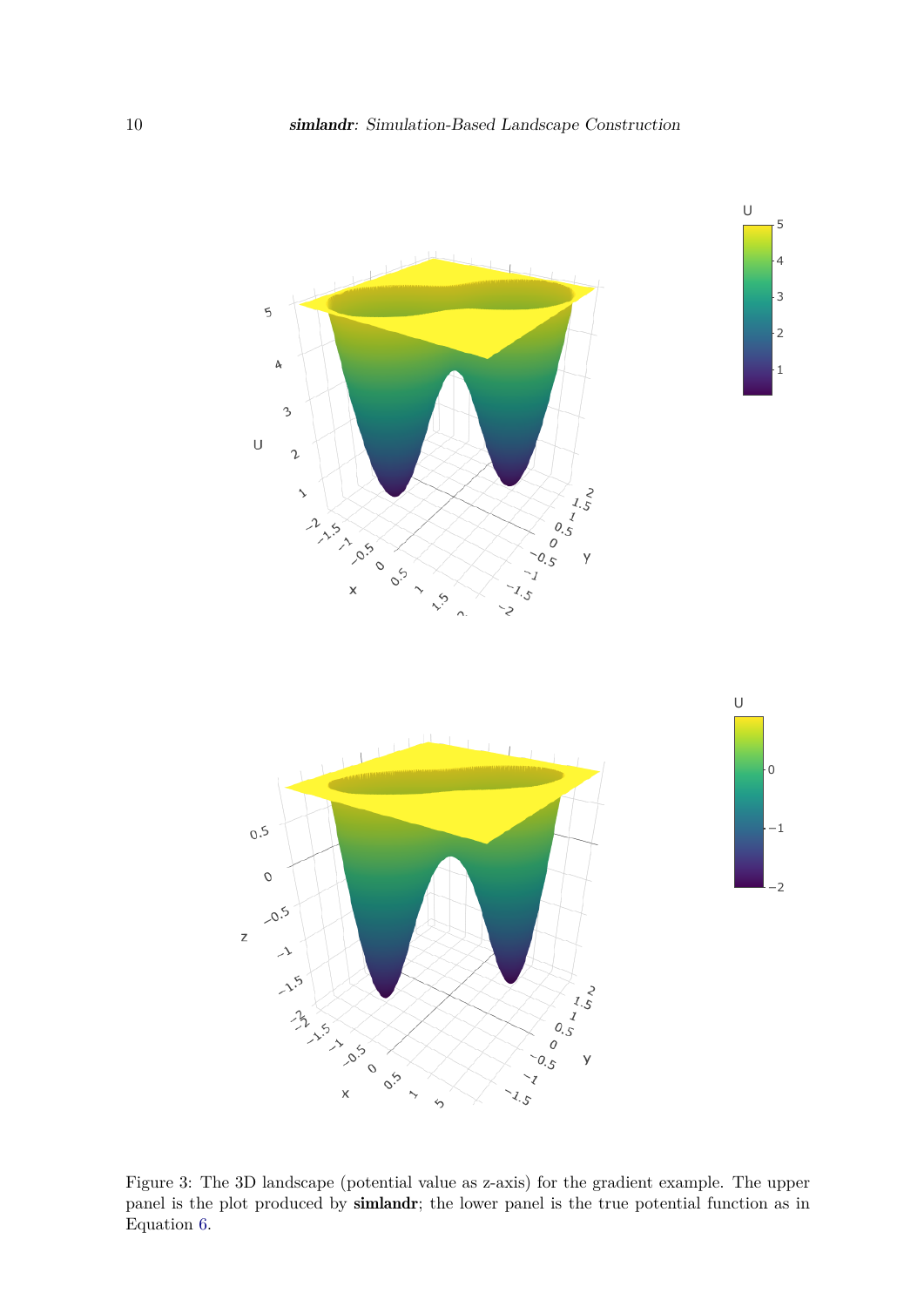

Figure 3: The 3D landscape (potential value as z-axis) for the gradient example. The upper panel is the plot produced by simlandr; the lower panel is the true potential function as in Equation 6.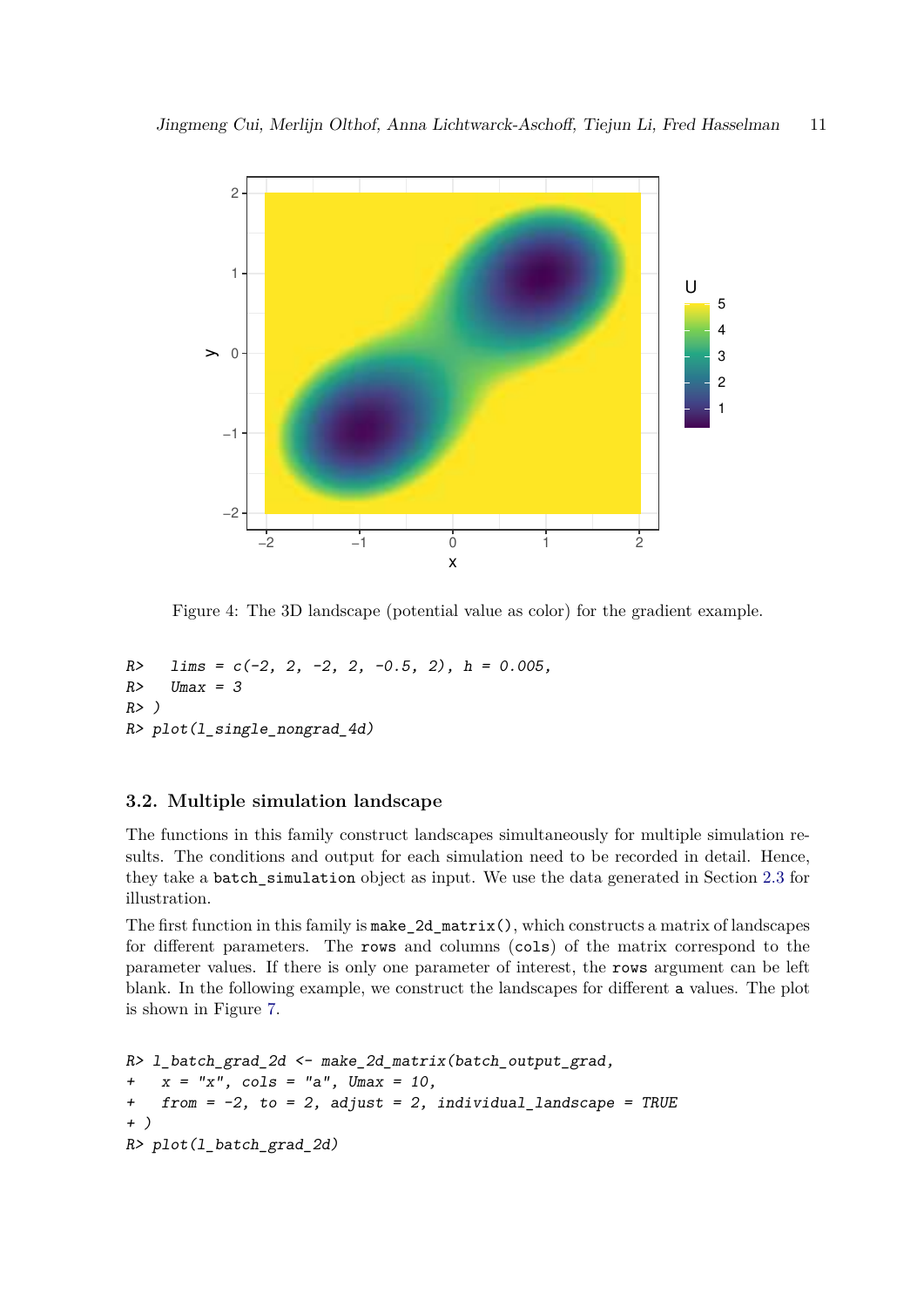

Figure 4: The 3D landscape (potential value as color) for the gradient example.

```
R> lims = c(-2, 2, -2, 2, -0.5, 2), h = 0.005,
R> Umax = 3
R> )
R> plot(l_single_nongrad_4d)
```
#### **3.2. Multiple simulation landscape**

The functions in this family construct landscapes simultaneously for multiple simulation results. The conditions and output for each simulation need to be recorded in detail. Hence, they take a batch\_simulation object as input. We use the data generated in Section 2.3 for illustration.

The first function in this family is  $\texttt{make\_2d\_matrix}()$ , which constructs a matrix of landscapes for different parameters. The rows and columns (cols) of the matrix correspond to the parameter values. If there is only one parameter of interest, the rows argument can be left blank. In the following example, we construct the landscapes for different a values. The plot is shown in Figure 7.

```
R> l_batch_grad_2d <- make_2d_matrix(batch_output_grad,
+ x = "x", cols = "a", Umax = 10,
+ from = -2, to = 2, adjust = 2, individual_landscape = TRUE
+ )
R> plot(l_batch_grad_2d)
```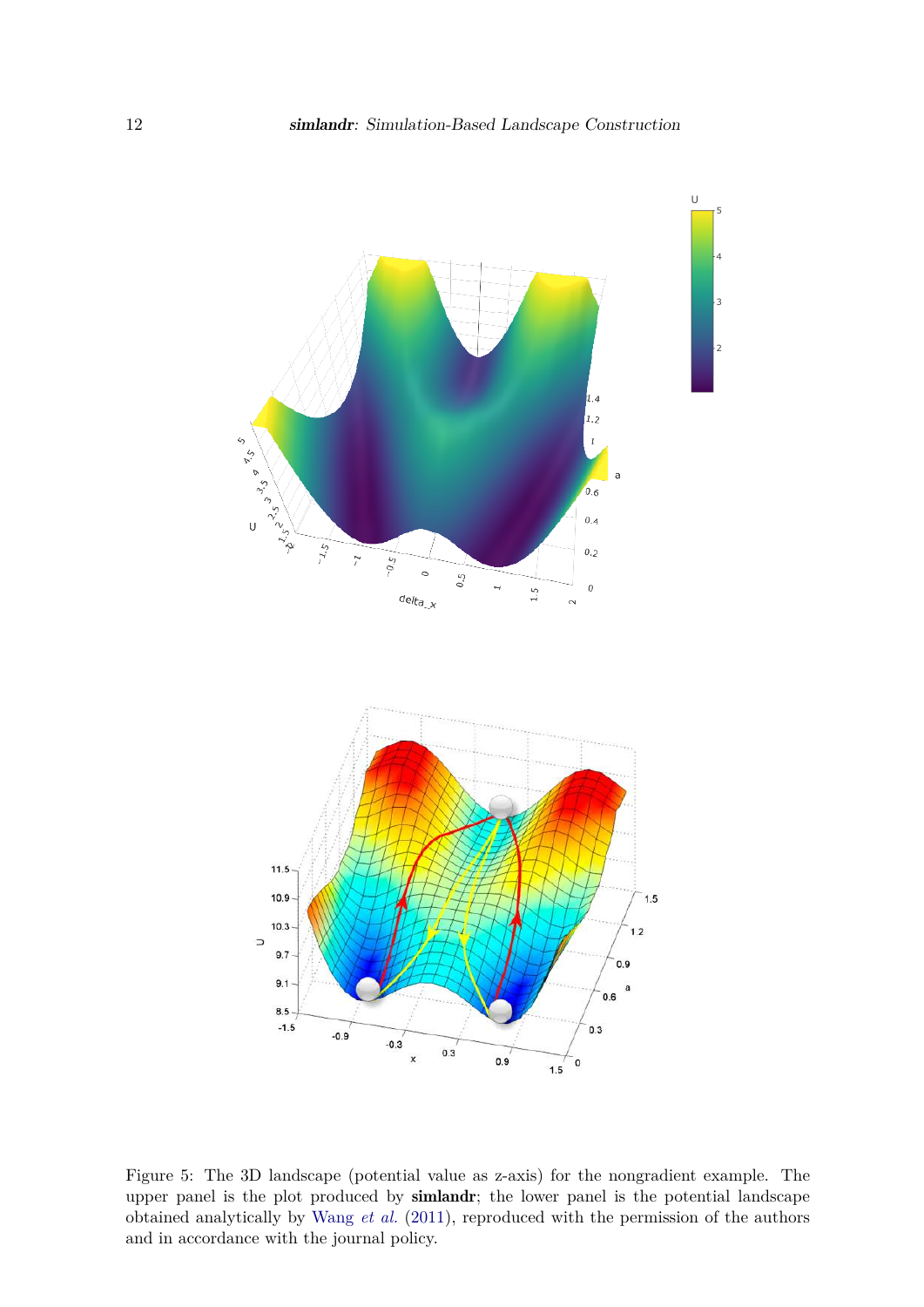

Figure 5: The 3D landscape (potential value as z-axis) for the nongradient example. The upper panel is the plot produced by simlandr; the lower panel is the potential landscape obtained analytically by Wang *et al.* (2011), reproduced with the permission of the authors and in accordance with the journal policy.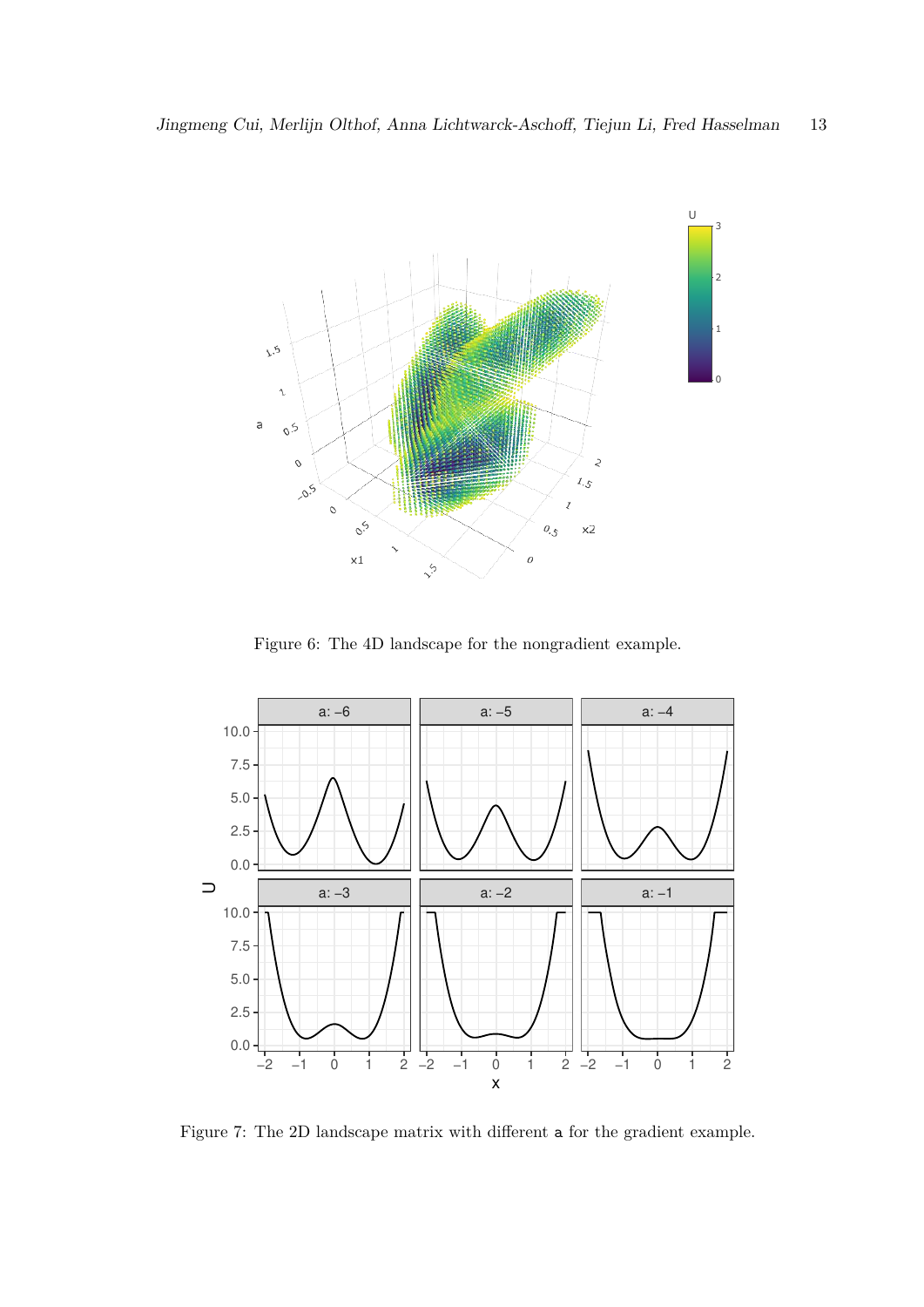

Figure 6: The 4D landscape for the nongradient example.



Figure 7: The 2D landscape matrix with different a for the gradient example.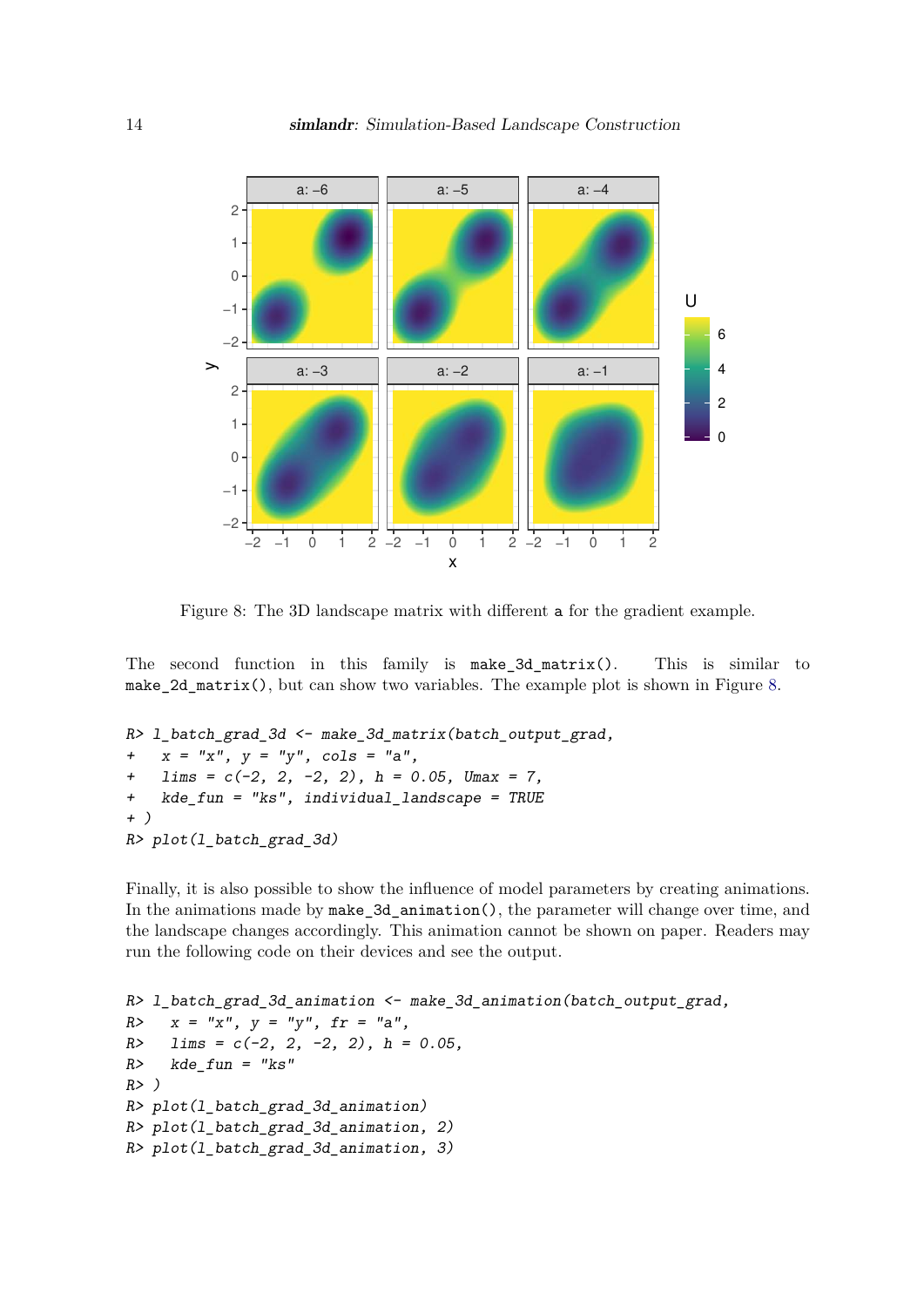

Figure 8: The 3D landscape matrix with different a for the gradient example.

The second function in this family is make\_3d\_matrix(). This is similar to make\_2d\_matrix(), but can show two variables. The example plot is shown in Figure 8.

```
R> l_batch_grad_3d <- make_3d_matrix(batch_output_grad,
+ x = "x", y = "y", cols = "a",
+ lims = c(-2, 2, -2, 2), h = 0.05, Umax = 7,
+ kde_fun = "ks", individual_landscape = TRUE
+ )
R> plot(l_batch_grad_3d)
```
Finally, it is also possible to show the influence of model parameters by creating animations. In the animations made by make 3d animation(), the parameter will change over time, and the landscape changes accordingly. This animation cannot be shown on paper. Readers may run the following code on their devices and see the output.

```
R> l_batch_grad_3d_animation <- make_3d_animation(batch_output_grad,
R> x = "x", y = "y", fr = "a",
R> lims = c(-2, 2, -2, 2), h = 0.05,
R> kde_fun = "ks"
R> )
R> plot(l_batch_grad_3d_animation)
R> plot(l_batch_grad_3d_animation, 2)
R> plot(l_batch_grad_3d_animation, 3)
```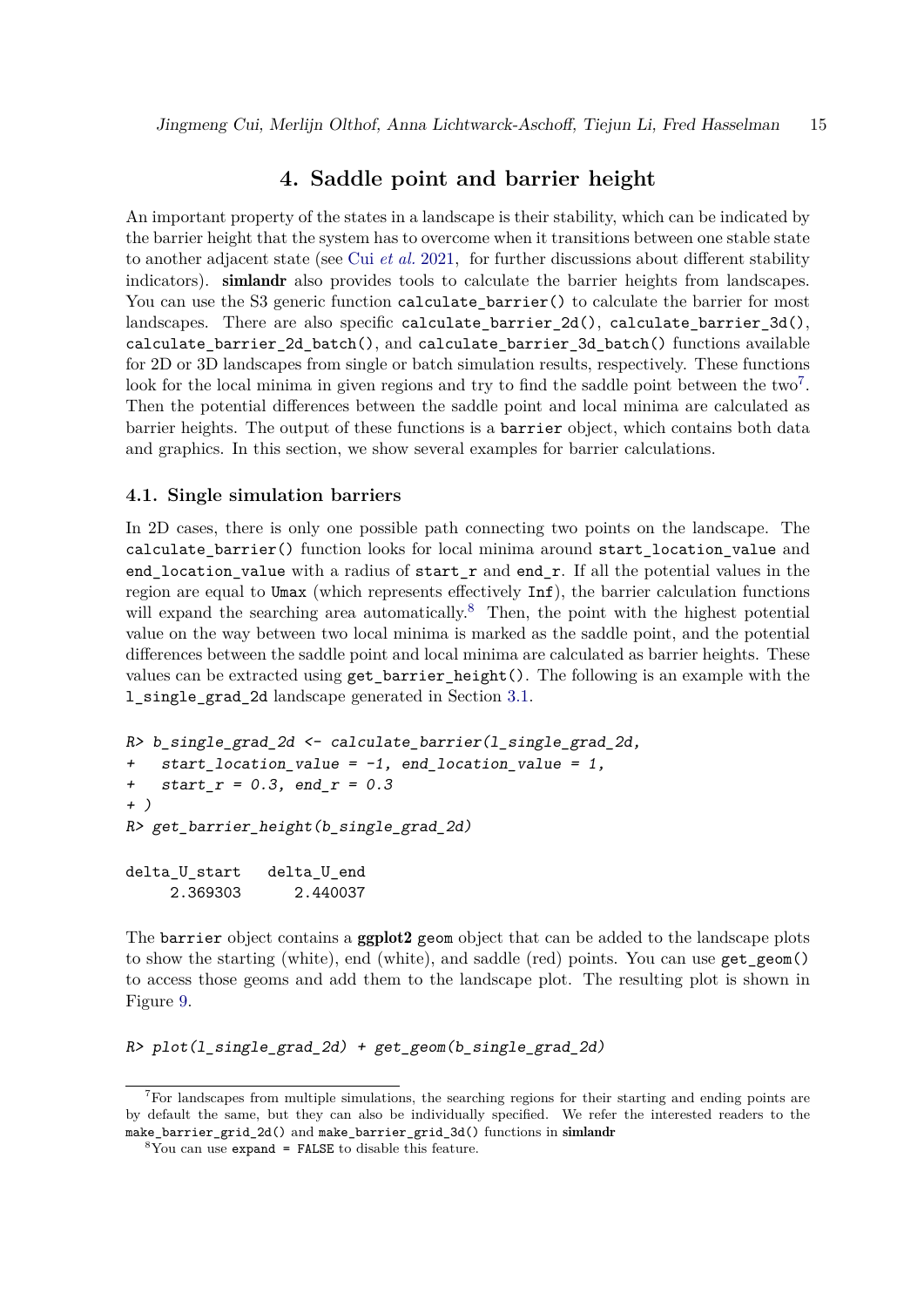### **4. Saddle point and barrier height**

An important property of the states in a landscape is their stability, which can be indicated by the barrier height that the system has to overcome when it transitions between one stable state to another adjacent state (see Cui *et al.* 2021, for further discussions about different stability indicators). simlandr also provides tools to calculate the barrier heights from landscapes. You can use the S3 generic function calculate\_barrier() to calculate the barrier for most landscapes. There are also specific calculate\_barrier\_2d(), calculate\_barrier\_3d(), calculate\_barrier\_2d\_batch(), and calculate\_barrier\_3d\_batch() functions available for 2D or 3D landscapes from single or batch simulation results, respectively. These functions look for the local minima in given regions and try to find the saddle point between the two<sup>7</sup>. Then the potential differences between the saddle point and local minima are calculated as barrier heights. The output of these functions is a barrier object, which contains both data and graphics. In this section, we show several examples for barrier calculations.

#### **4.1. Single simulation barriers**

In 2D cases, there is only one possible path connecting two points on the landscape. The calculate\_barrier() function looks for local minima around start\_location\_value and end location value with a radius of start  $r$  and end  $r$ . If all the potential values in the region are equal to Umax (which represents effectively Inf), the barrier calculation functions will expand the searching area automatically.<sup>8</sup> Then, the point with the highest potential value on the way between two local minima is marked as the saddle point, and the potential differences between the saddle point and local minima are calculated as barrier heights. These values can be extracted using get\_barrier\_height(). The following is an example with the l\_single\_grad\_2d landscape generated in Section 3.1.

```
R> b_single_grad_2d <- calculate_barrier(l_single_grad_2d,
+ start_location_value = -1, end_location_value = 1,
+ start_r = 0.3, end_r = 0.3
+ )
R> get_barrier_height(b_single_grad_2d)
delta_U_start delta_U_end
    2.369303 2.440037
```
The barrier object contains a ggplot2 geom object that can be added to the landscape plots to show the starting (white), end (white), and saddle (red) points. You can use get\_geom() to access those geoms and add them to the landscape plot. The resulting plot is shown in Figure 9.

```
R> plot(l_single_grad_2d) + get_geom(b_single_grad_2d)
```
 ${}^{7}$ For landscapes from multiple simulations, the searching regions for their starting and ending points are by default the same, but they can also be individually specified. We refer the interested readers to the make\_barrier\_grid\_2d() and make\_barrier\_grid\_3d() functions in simlandr

 $8$ You can use expand = FALSE to disable this feature.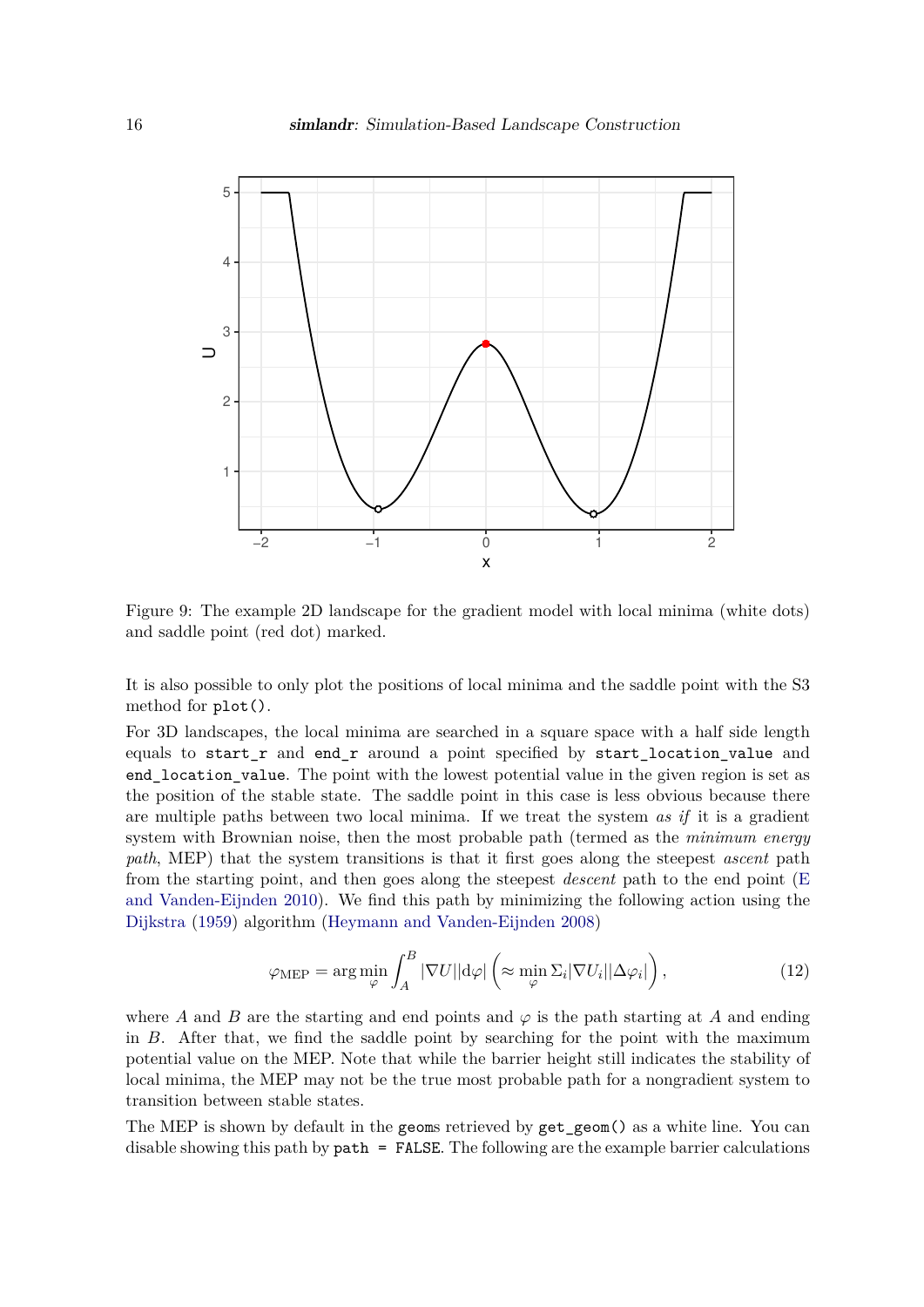

Figure 9: The example 2D landscape for the gradient model with local minima (white dots) and saddle point (red dot) marked.

It is also possible to only plot the positions of local minima and the saddle point with the S3 method for plot().

For 3D landscapes, the local minima are searched in a square space with a half side length equals to start  $r$  and end  $r$  around a point specified by start location value and end location value. The point with the lowest potential value in the given region is set as the position of the stable state. The saddle point in this case is less obvious because there are multiple paths between two local minima. If we treat the system *as if* it is a gradient system with Brownian noise, then the most probable path (termed as the *minimum energy path*, MEP) that the system transitions is that it first goes along the steepest *ascent* path from the starting point, and then goes along the steepest *descent* path to the end point (E and Vanden-Eijnden 2010). We find this path by minimizing the following action using the Dijkstra (1959) algorithm (Heymann and Vanden-Eijnden 2008)

$$
\varphi_{\text{MEP}} = \arg \min_{\varphi} \int_{A}^{B} |\nabla U| |d\varphi| \left( \approx \min_{\varphi} \Sigma_{i} |\nabla U_{i}| |\Delta \varphi_{i}| \right), \tag{12}
$$

where *A* and *B* are the starting and end points and  $\varphi$  is the path starting at *A* and ending in  $B$ . After that, we find the saddle point by searching for the point with the maximum potential value on the MEP. Note that while the barrier height still indicates the stability of local minima, the MEP may not be the true most probable path for a nongradient system to transition between stable states.

The MEP is shown by default in the geoms retrieved by get\_geom() as a white line. You can disable showing this path by **path** = FALSE. The following are the example barrier calculations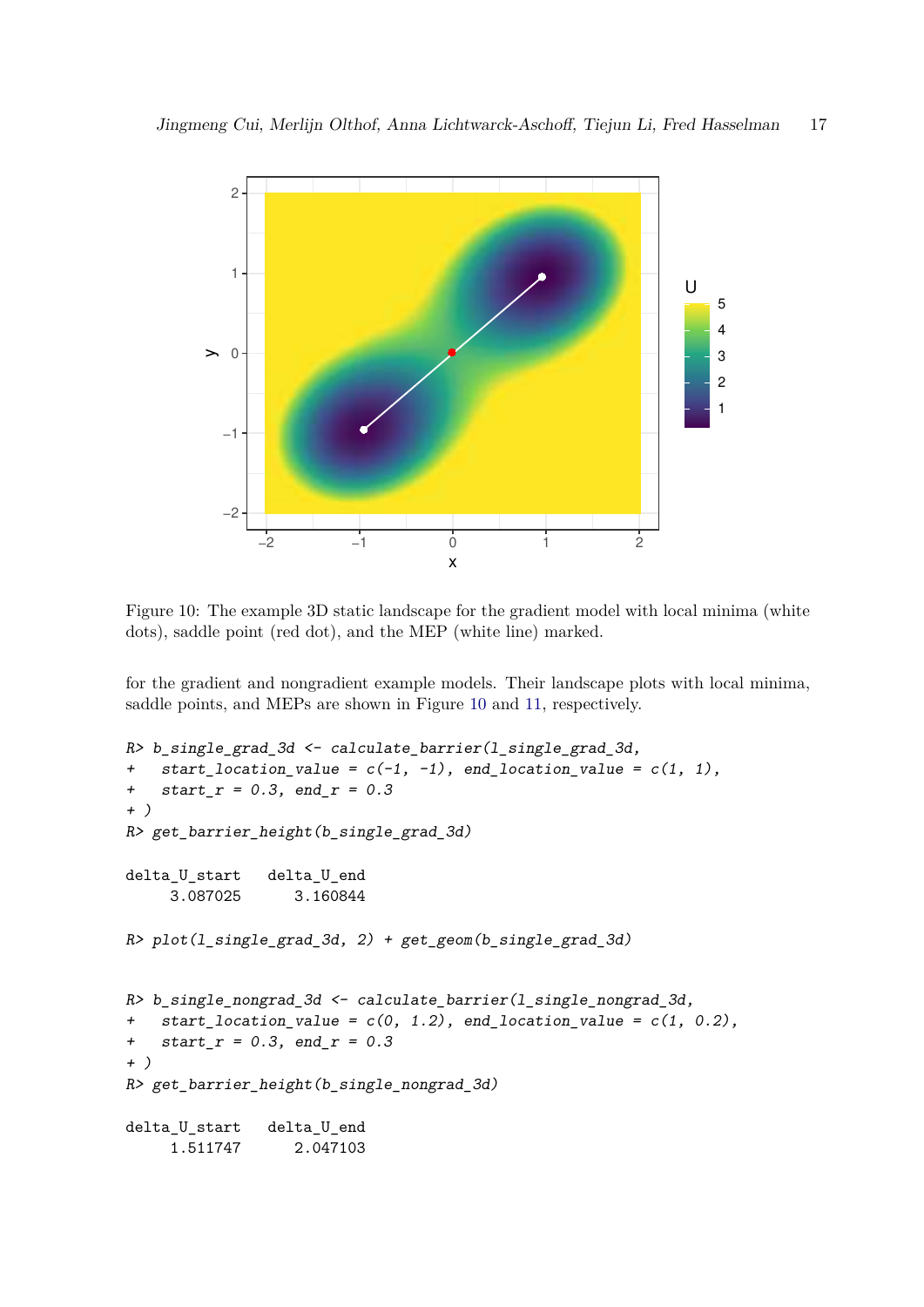

Figure 10: The example 3D static landscape for the gradient model with local minima (white dots), saddle point (red dot), and the MEP (white line) marked.

for the gradient and nongradient example models. Their landscape plots with local minima, saddle points, and MEPs are shown in Figure 10 and 11, respectively.

```
R> b_single_grad_3d <- calculate_barrier(l_single_grad_3d,
+ start_location_value = c(-1, -1), end_location_value = c(1, 1),
+ start_r = 0.3, end_r = 0.3
+ )
R> get_barrier_height(b_single_grad_3d)
delta U start delta U end
    3.087025 3.160844
R> plot(l_single_grad_3d, 2) + get_geom(b_single_grad_3d)
R> b_single_nongrad_3d <- calculate_barrier(l_single_nongrad_3d,
+ start_location_value = c(0, 1.2), end_location_value = c(1, 0.2),
+ start_r = 0.3, end_r = 0.3
+ )
R> get_barrier_height(b_single_nongrad_3d)
delta_U_start delta_U_end
    1.511747 2.047103
```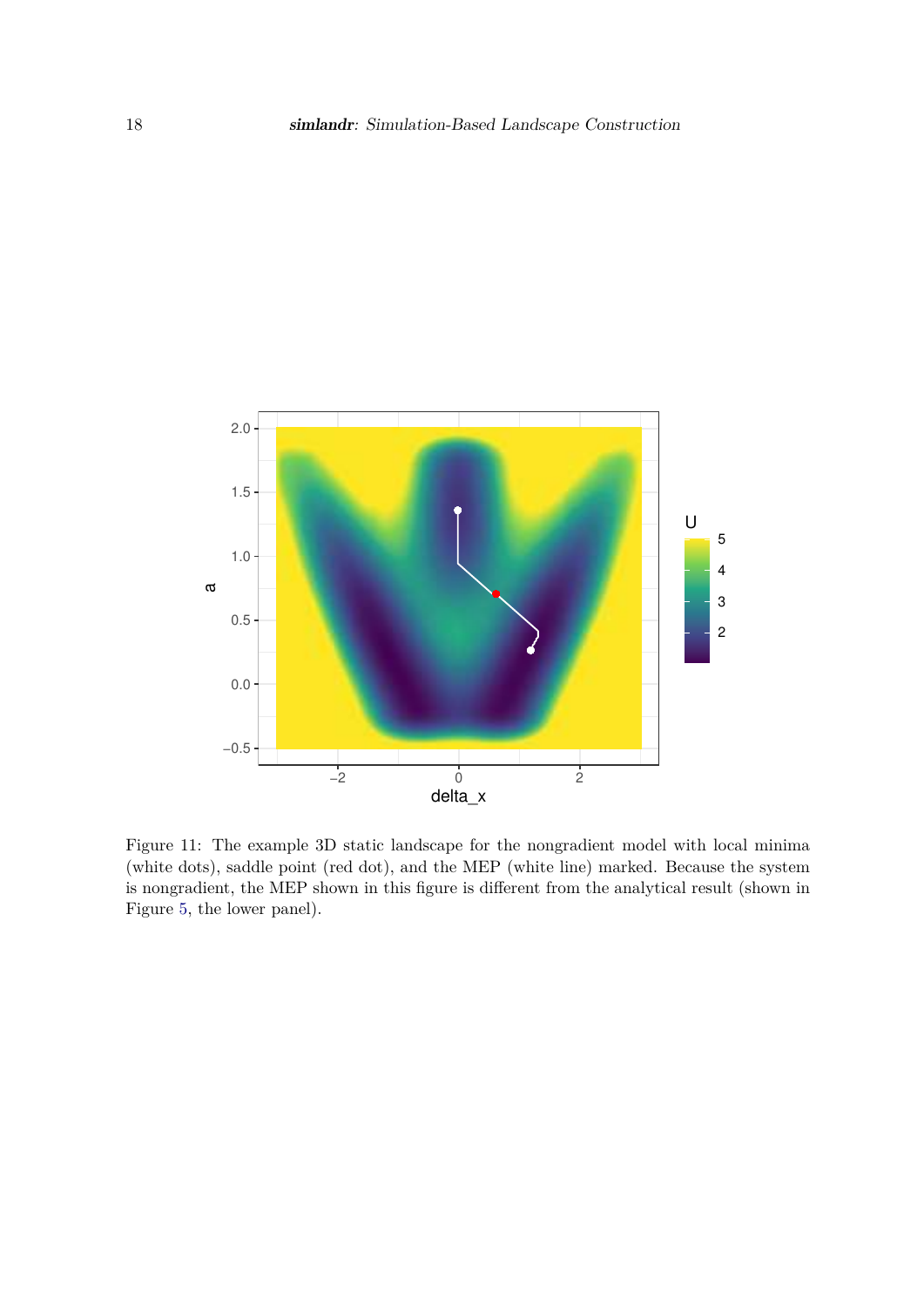

Figure 11: The example 3D static landscape for the nongradient model with local minima (white dots), saddle point (red dot), and the MEP (white line) marked. Because the system is nongradient, the MEP shown in this figure is different from the analytical result (shown in Figure 5, the lower panel).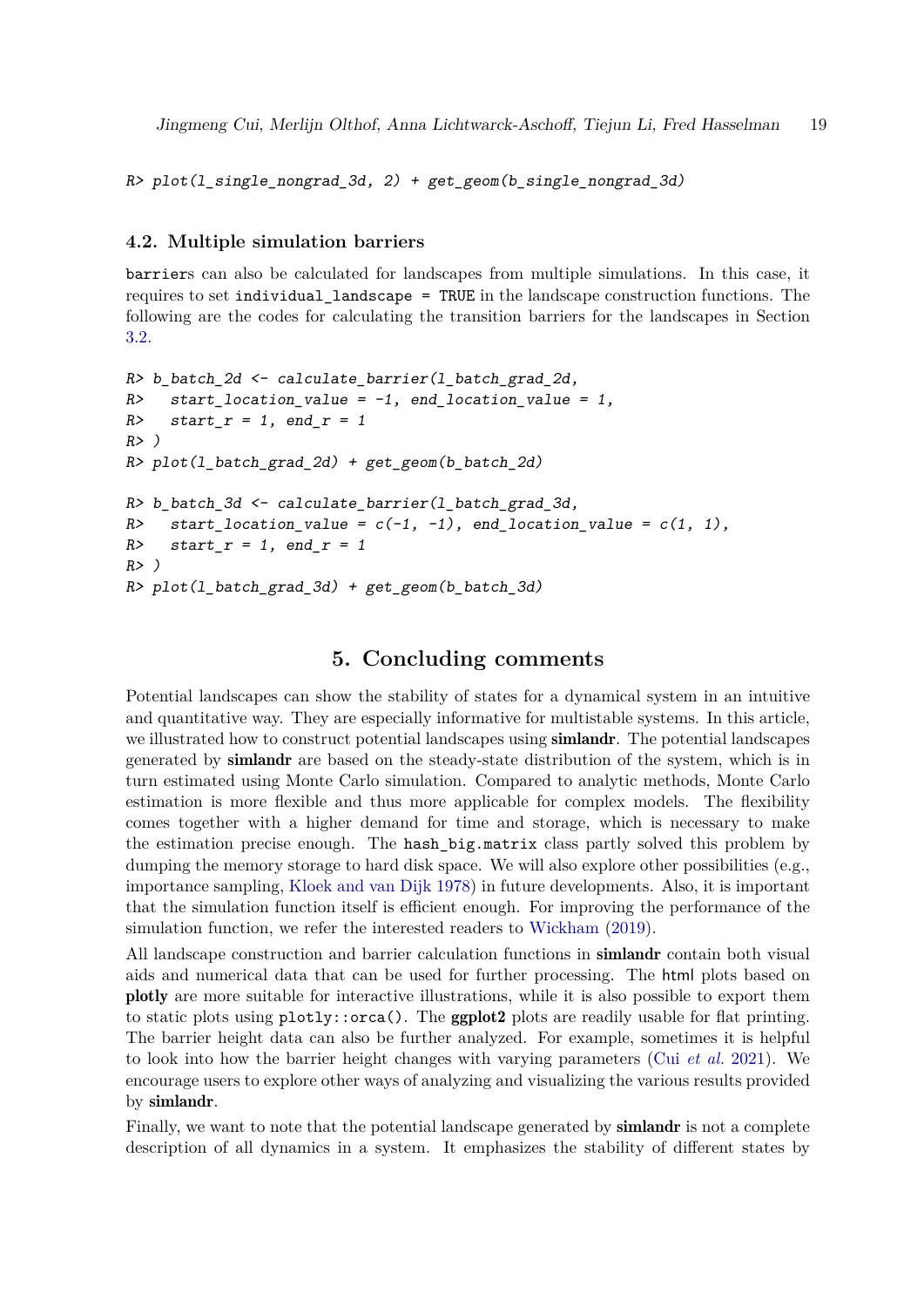*R> plot(l\_single\_nongrad\_3d, 2) + get\_geom(b\_single\_nongrad\_3d)*

#### **4.2. Multiple simulation barriers**

barriers can also be calculated for landscapes from multiple simulations. In this case, it requires to set individual\_landscape = TRUE in the landscape construction functions. The following are the codes for calculating the transition barriers for the landscapes in Section 3.2.

```
R> b_batch_2d <- calculate_barrier(l_batch_grad_2d,
R> start_location_value = -1, end_location_value = 1,
R> start_r = 1, end_r = 1
R> )
R> plot(l_batch_grad_2d) + get_geom(b_batch_2d)
R> b_batch_3d <- calculate_barrier(l_batch_grad_3d,
R> start_location_value = c(-1, -1), end_location_value = c(1, 1),
R> start_r = 1, end_r = 1
R> )
R> plot(l_batch_grad_3d) + get_geom(b_batch_3d)
```
### **5. Concluding comments**

Potential landscapes can show the stability of states for a dynamical system in an intuitive and quantitative way. They are especially informative for multistable systems. In this article, we illustrated how to construct potential landscapes using **simlandr**. The potential landscapes generated by simlandr are based on the steady-state distribution of the system, which is in turn estimated using Monte Carlo simulation. Compared to analytic methods, Monte Carlo estimation is more flexible and thus more applicable for complex models. The flexibility comes together with a higher demand for time and storage, which is necessary to make the estimation precise enough. The hash\_big.matrix class partly solved this problem by dumping the memory storage to hard disk space. We will also explore other possibilities (e.g., importance sampling, Kloek and van Dijk 1978) in future developments. Also, it is important that the simulation function itself is efficient enough. For improving the performance of the simulation function, we refer the interested readers to Wickham (2019).

All landscape construction and barrier calculation functions in simlandr contain both visual aids and numerical data that can be used for further processing. The html plots based on plotly are more suitable for interactive illustrations, while it is also possible to export them to static plots using  $plot1y$ ::orca(). The ggplot2 plots are readily usable for flat printing. The barrier height data can also be further analyzed. For example, sometimes it is helpful to look into how the barrier height changes with varying parameters (Cui *et al.* 2021). We encourage users to explore other ways of analyzing and visualizing the various results provided by simlandr.

Finally, we want to note that the potential landscape generated by **simlandr** is not a complete description of all dynamics in a system. It emphasizes the stability of different states by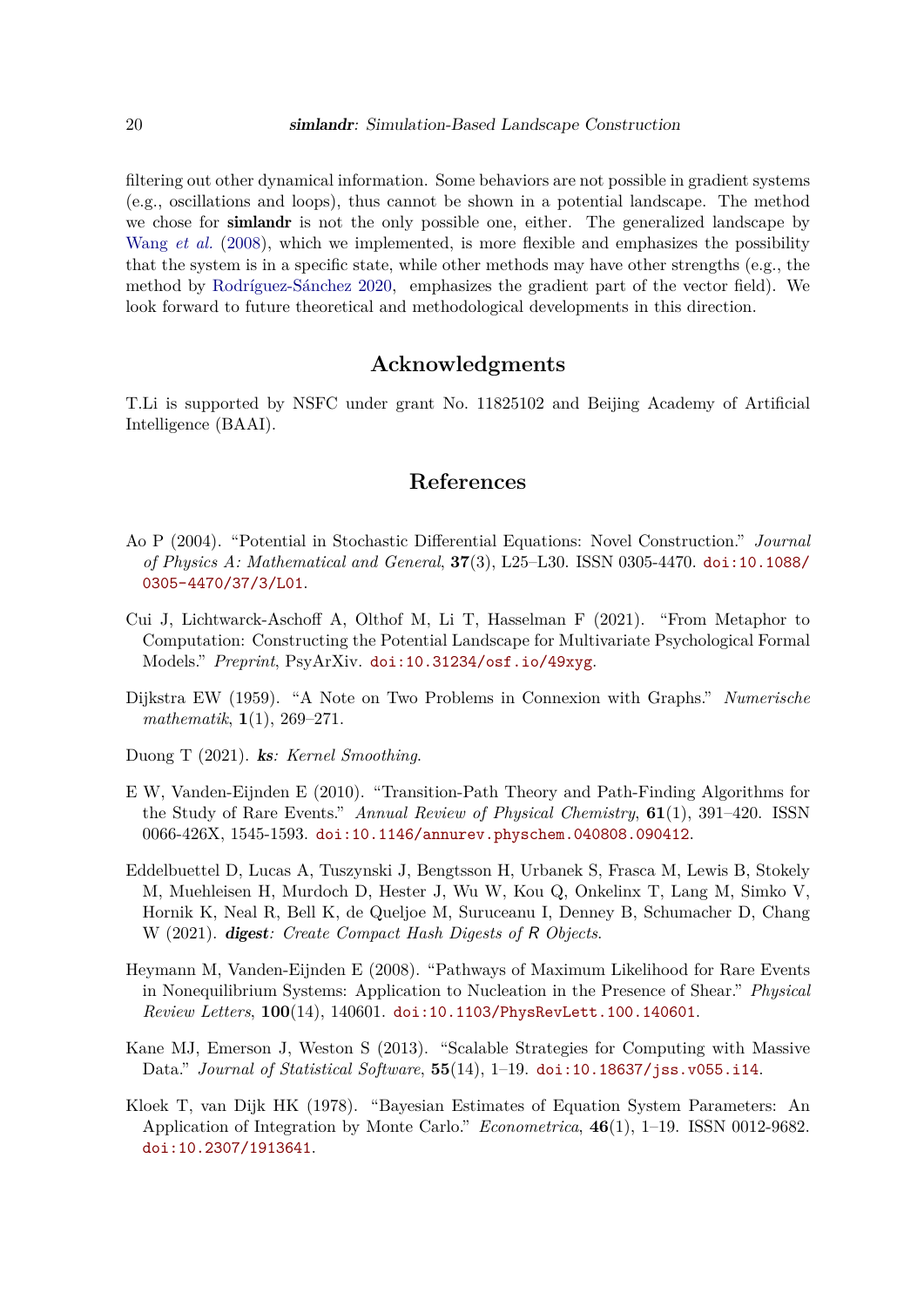filtering out other dynamical information. Some behaviors are not possible in gradient systems (e.g., oscillations and loops), thus cannot be shown in a potential landscape. The method we chose for simlandr is not the only possible one, either. The generalized landscape by Wang *et al.* (2008), which we implemented, is more flexible and emphasizes the possibility that the system is in a specific state, while other methods may have other strengths (e.g., the method by Rodríguez-Sánchez 2020, emphasizes the gradient part of the vector field). We look forward to future theoretical and methodological developments in this direction.

# **Acknowledgments**

T.Li is supported by NSFC under grant No. 11825102 and Beijing Academy of Artificial Intelligence (BAAI).

### **References**

- Ao P (2004). "Potential in Stochastic Differential Equations: Novel Construction." *Journal of Physics A: Mathematical and General*, **37**(3), L25–L30. ISSN 0305-4470. doi:10.1088/ 0305-4470/37/3/L01.
- Cui J, Lichtwarck-Aschoff A, Olthof M, Li T, Hasselman F  $(2021)$ . "From Metaphor to Computation: Constructing the Potential Landscape for Multivariate Psychological Formal Models.Ť *Preprint*, PsyArXiv. doi:10.31234/osf.io/49xyg.
- Dijkstra EW (1959). "A Note on Two Problems in Connexion with Graphs." *Numerische*  $mathematick, 1(1), 269-271.$
- Duong T (2021). ks*: Kernel Smoothing*.
- E W, Vanden-Eijnden E  $(2010)$ . "Transition-Path Theory and Path-Finding Algorithms for the Study of Rare Events.<sup>n</sup> Annual Review of Physical Chemistry, **61**(1), 391–420. ISSN 0066-426X, 1545-1593. doi:10.1146/annurev.physchem.040808.090412.
- Eddelbuettel D, Lucas A, Tuszynski J, Bengtsson H, Urbanek S, Frasca M, Lewis B, Stokely M, Muehleisen H, Murdoch D, Hester J, Wu W, Kou Q, Onkelinx T, Lang M, Simko V, Hornik K, Neal R, Bell K, de Queljoe M, Suruceanu I, Denney B, Schumacher D, Chang W (2021). digest*: Create Compact Hash Digests of* R *Objects*.
- Heymann M, Vanden-Eijnden E (2008). "Pathways of Maximum Likelihood for Rare Events in Nonequilibrium Systems: Application to Nucleation in the Presence of Shear.<sup>*n*</sup> *Physical Review Letters*, **100**(14), 140601. doi:10.1103/PhysRevLett.100.140601.
- Kane MJ, Emerson J, Weston S  $(2013)$ . "Scalable Strategies for Computing with Massive Data." *Journal of Statistical Software*, **55**(14), 1–19. doi:10.18637/jss.v055.i14.
- Kloek T, van Dijk HK (1978). "Bayesian Estimates of Equation System Parameters: An Application of Integration by Monte Carlo.<sup>n</sup> *Econometrica*, **46**(1), 1–19. ISSN 0012-9682. doi:10.2307/1913641.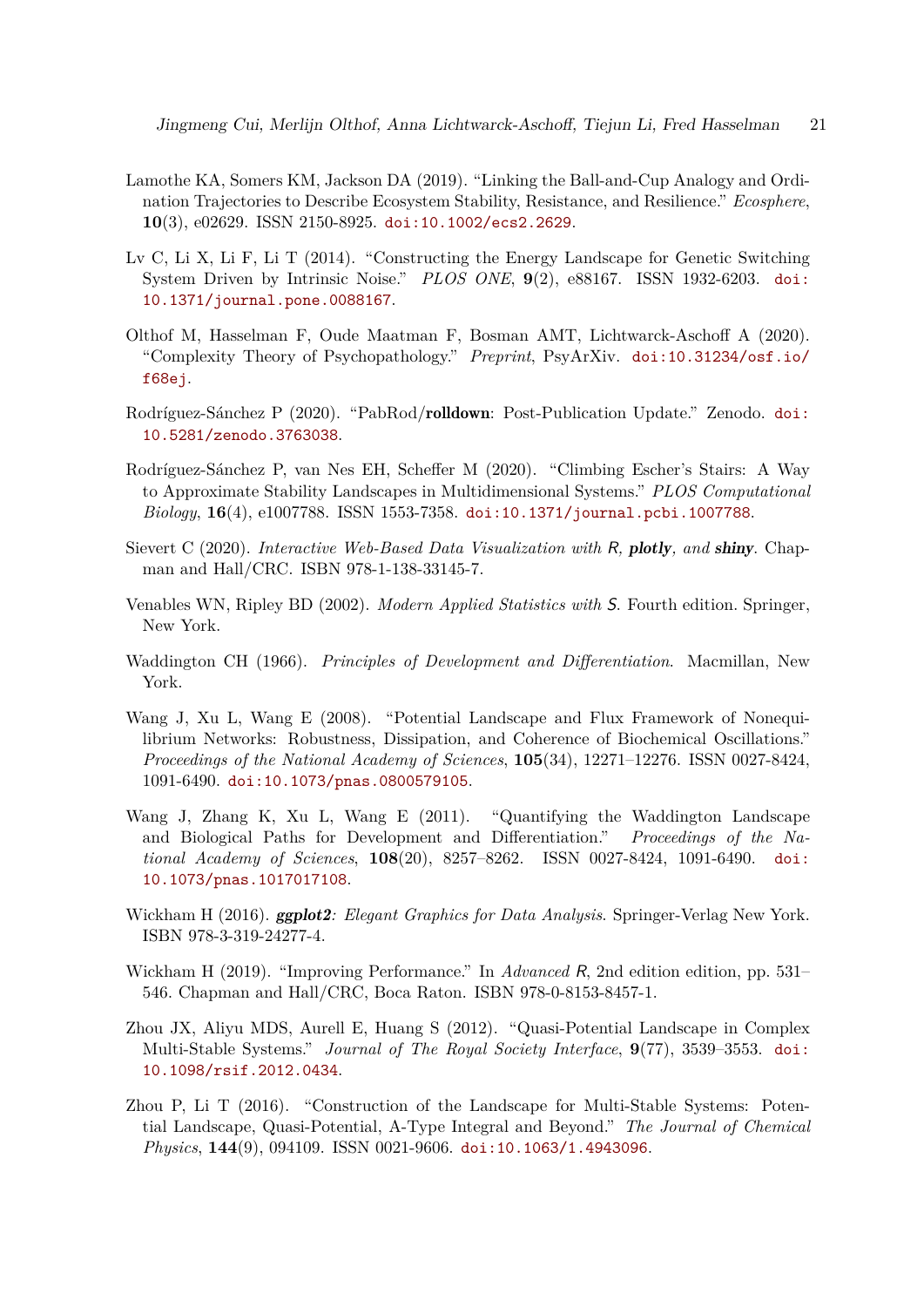- Lamothe KA, Somers KM, Jackson DA (2019). "Linking the Ball-and-Cup Analogy and Ordination Trajectories to Describe Ecosystem Stability, Resistance, and Resilience.Ť *Ecosphere*, **10**(3), e02629. ISSN 2150-8925. doi:10.1002/ecs2.2629.
- Lv C, Li X, Li F, Li T  $(2014)$ . "Constructing the Energy Landscape for Genetic Switching System Driven by Intrinsic Noise.Ť *PLOS ONE*, **9**(2), e88167. ISSN 1932-6203. doi: 10.1371/journal.pone.0088167.
- Olthof M, Hasselman F, Oude Maatman F, Bosman AMT, Lichtwarck-Aschoff A (2020). ŞComplexity Theory of Psychopathology.Ť *Preprint*, PsyArXiv. doi:10.31234/osf.io/ f68ej.
- Rodríguez-Sánchez P (2020). "PabRod/rolldown: Post-Publication Update." Zenodo. doi: 10.5281/zenodo.3763038.
- Rodríguez-Sánchez P, van Nes EH, Scheffer M (2020). "Climbing Escher's Stairs: A Way to Approximate Stability Landscapes in Multidimensional Systems.Ť *PLOS Computational Biology*, **16**(4), e1007788. ISSN 1553-7358. doi:10.1371/journal.pcbi.1007788.
- Sievert C (2020). *Interactive Web-Based Data Visualization with* R*,* plotly*, and* shiny. Chapman and Hall/CRC. ISBN 978-1-138-33145-7.
- Venables WN, Ripley BD (2002). *Modern Applied Statistics with* S. Fourth edition. Springer, New York.
- Waddington CH (1966). *Principles of Development and Differentiation*. Macmillan, New York.
- Wang J, Xu L, Wang E (2008). "Potential Landscape and Flux Framework of Nonequilibrium Networks: Robustness, Dissipation, and Coherence of Biochemical Oscillations.<sup>"</sup> *Proceedings of the National Academy of Sciences*, **105**(34), 12271–12276. ISSN 0027-8424, 1091-6490. doi:10.1073/pnas.0800579105.
- Wang J, Zhang K, Xu L, Wang E  $(2011)$ . "Quantifying the Waddington Landscape and Biological Paths for Development and Differentiation.<sup>"</sup> Proceedings of the Na*tional Academy of Sciences*, **108**(20), 8257–8262. ISSN 0027-8424, 1091-6490. doi: 10.1073/pnas.1017017108.
- Wickham H (2016). ggplot2*: Elegant Graphics for Data Analysis*. Springer-Verlag New York. ISBN 978-3-319-24277-4.
- Wickham H (2019). "Improving Performance." In *Advanced* R, 2nd edition edition, pp. 531– 546. Chapman and Hall/CRC, Boca Raton. ISBN 978-0-8153-8457-1.
- Zhou JX, Aliyu MDS, Aurell E, Huang S  $(2012)$ . "Quasi-Potential Landscape in Complex Multi-Stable Systems.<sup>n</sup> *Journal of The Royal Society Interface*,  $9(77)$ , 3539–3553. doi: 10.1098/rsif.2012.0434.
- Zhou P, Li T  $(2016)$ . "Construction of the Landscape for Multi-Stable Systems: Potential Landscape, Quasi-Potential, A-Type Integral and Beyond.<sup>"</sup> The Journal of Chemical *Physics*, **144**(9), 094109. ISSN 0021-9606. doi:10.1063/1.4943096.